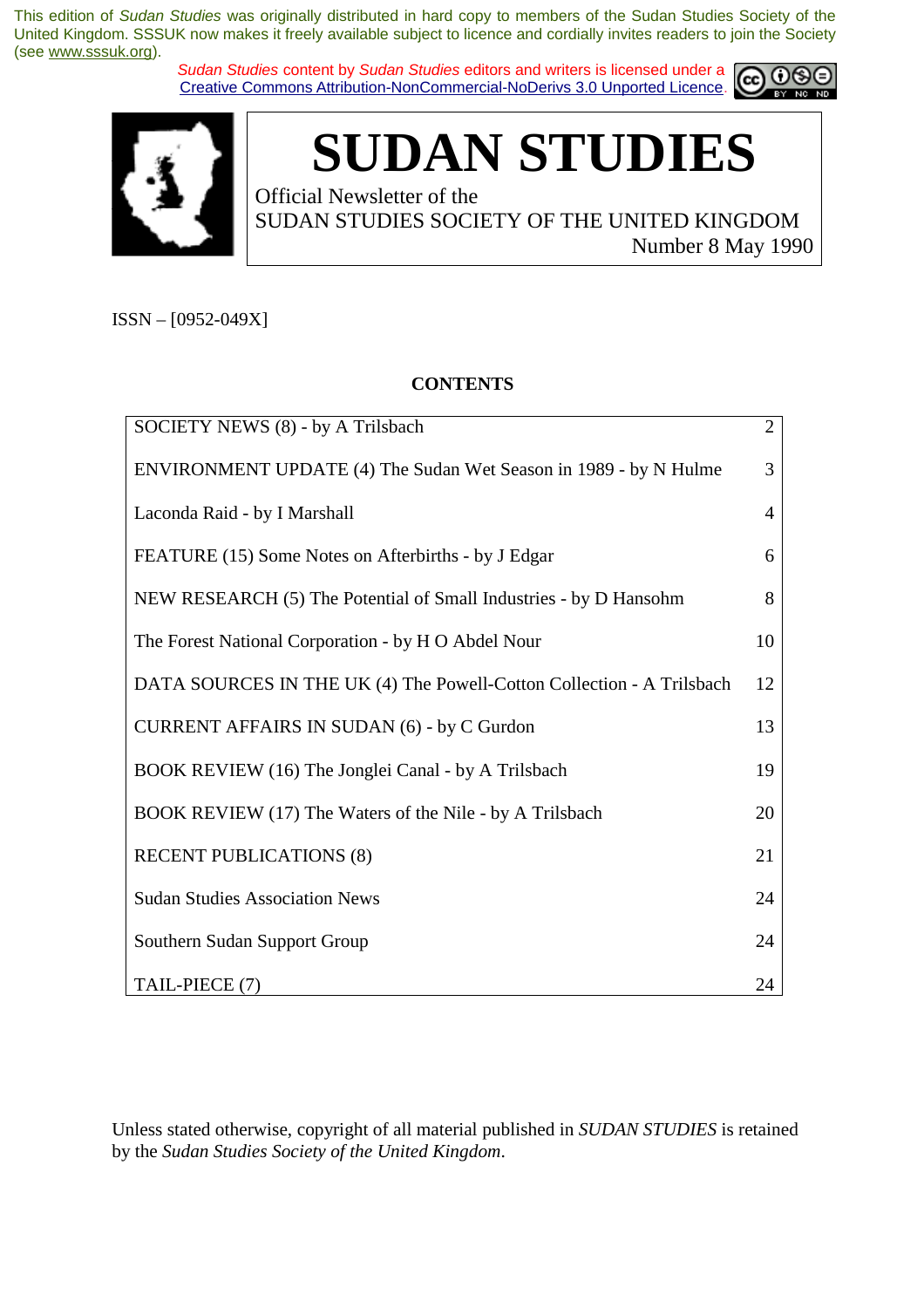*Sudan Studies* content by *Sudan Studies* editors and writers is licensed under a Creative Commons Attribution-NonCommercial-NoDerivs 3.0 Unported Licence.





# **SUDAN STUDIES**

Official Newsletter of the SUDAN STUDIES SOCIETY OF THE UNITED KINGDOM Number 8 May 1990

ISSN – [0952-049X]

#### **CONTENTS**

| SOCIETY NEWS (8) - by A Trilsbach                                     | $\overline{2}$ |
|-----------------------------------------------------------------------|----------------|
| ENVIRONMENT UPDATE (4) The Sudan Wet Season in 1989 - by N Hulme      | 3              |
| Laconda Raid - by I Marshall                                          | $\overline{4}$ |
| FEATURE (15) Some Notes on Afterbirths - by J Edgar                   | 6              |
| NEW RESEARCH (5) The Potential of Small Industries - by D Hansohm     | 8              |
| The Forest National Corporation - by H O Abdel Nour                   | 10             |
| DATA SOURCES IN THE UK (4) The Powell-Cotton Collection - A Trilsbach | 12             |
| <b>CURRENT AFFAIRS IN SUDAN (6) - by C Gurdon</b>                     | 13             |
| BOOK REVIEW (16) The Jonglei Canal - by A Trilsbach                   | 19             |
| BOOK REVIEW (17) The Waters of the Nile - by A Trilsbach              | 20             |
| <b>RECENT PUBLICATIONS (8)</b>                                        | 21             |
| <b>Sudan Studies Association News</b>                                 | 24             |
| Southern Sudan Support Group                                          | 24             |
| TAIL-PIECE (7)                                                        | 24             |

Unless stated otherwise, copyright of all material published in *SUDAN STUDIES* is retained by the *Sudan Studies Society of the United Kingdom*.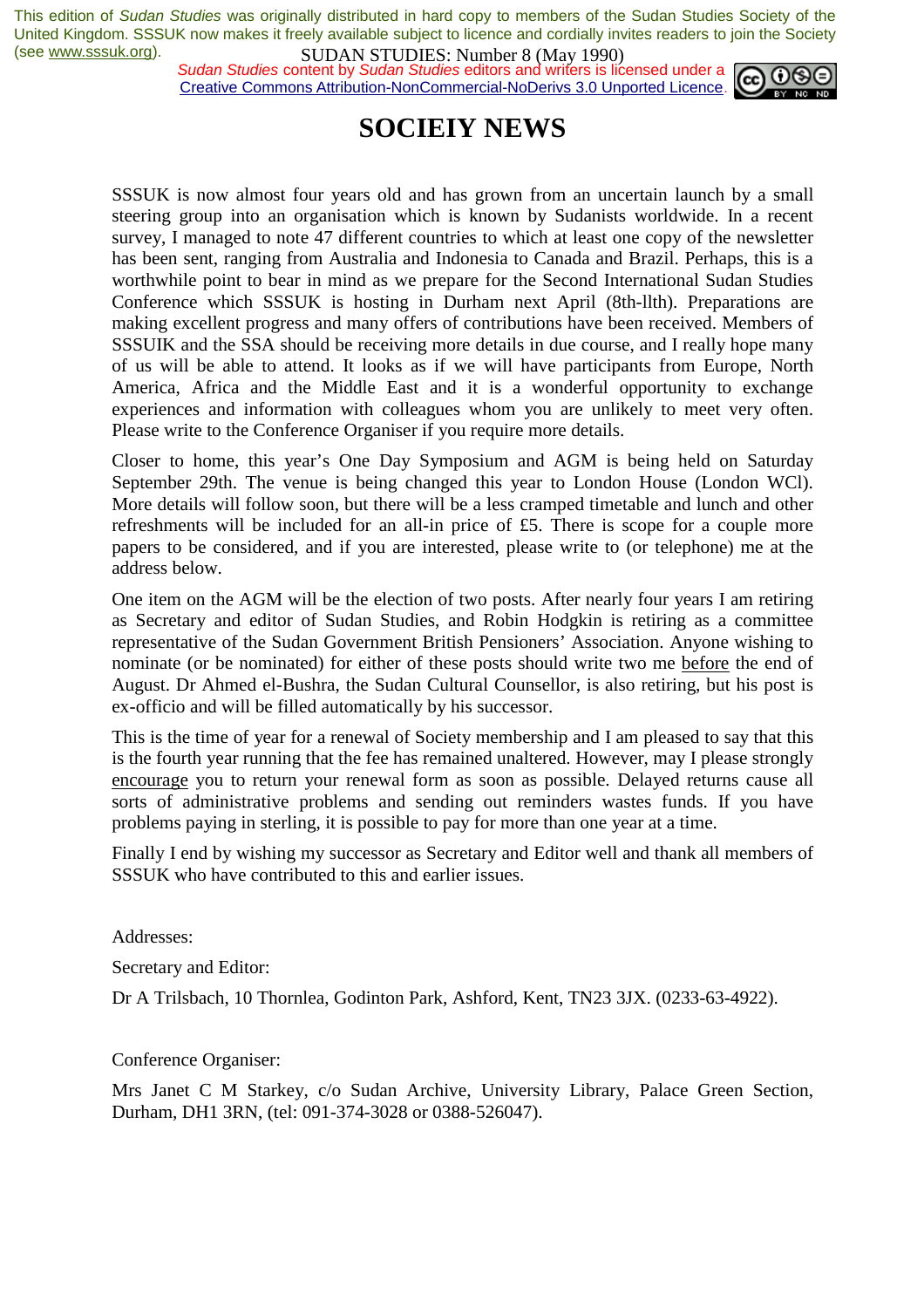*Sudan Studies* content by *Sudan Studies* editors and writers is licensed under a Creative Commons Attribution-NonCommercial-NoDerivs 3.0 Unported Licence.



# **SOCIEIY NEWS**

SSSUK is now almost four years old and has grown from an uncertain launch by a small steering group into an organisation which is known by Sudanists worldwide. In a recent survey, I managed to note 47 different countries to which at least one copy of the newsletter has been sent, ranging from Australia and Indonesia to Canada and Brazil. Perhaps, this is a worthwhile point to bear in mind as we prepare for the Second International Sudan Studies Conference which SSSUK is hosting in Durham next April (8th-llth). Preparations are making excellent progress and many offers of contributions have been received. Members of SSSUIK and the SSA should be receiving more details in due course, and I really hope many of us will be able to attend. It looks as if we will have participants from Europe, North America, Africa and the Middle East and it is a wonderful opportunity to exchange experiences and information with colleagues whom you are unlikely to meet very often. Please write to the Conference Organiser if you require more details.

Closer to home, this year's One Day Symposium and AGM is being held on Saturday September 29th. The venue is being changed this year to London House (London WCl). More details will follow soon, but there will be a less cramped timetable and lunch and other refreshments will be included for an all-in price of £5. There is scope for a couple more papers to be considered, and if you are interested, please write to (or telephone) me at the address below.

One item on the AGM will be the election of two posts. After nearly four years I am retiring as Secretary and editor of Sudan Studies, and Robin Hodgkin is retiring as a committee representative of the Sudan Government British Pensioners' Association. Anyone wishing to nominate (or be nominated) for either of these posts should write two me before the end of August. Dr Ahmed el-Bushra, the Sudan Cultural Counsellor, is also retiring, but his post is ex-officio and will be filled automatically by his successor.

This is the time of year for a renewal of Society membership and I am pleased to say that this is the fourth year running that the fee has remained unaltered. However, may I please strongly encourage you to return your renewal form as soon as possible. Delayed returns cause all sorts of administrative problems and sending out reminders wastes funds. If you have problems paying in sterling, it is possible to pay for more than one year at a time.

Finally I end by wishing my successor as Secretary and Editor well and thank all members of SSSUK who have contributed to this and earlier issues.

Addresses:

Secretary and Editor:

Dr A Trilsbach, 10 Thornlea, Godinton Park, Ashford, Kent, TN23 3JX. (0233-63-4922).

Conference Organiser:

Mrs Janet C M Starkey, c/o Sudan Archive, University Library, Palace Green Section, Durham, DH1 3RN, (tel: 091-374-3028 or 0388-526047).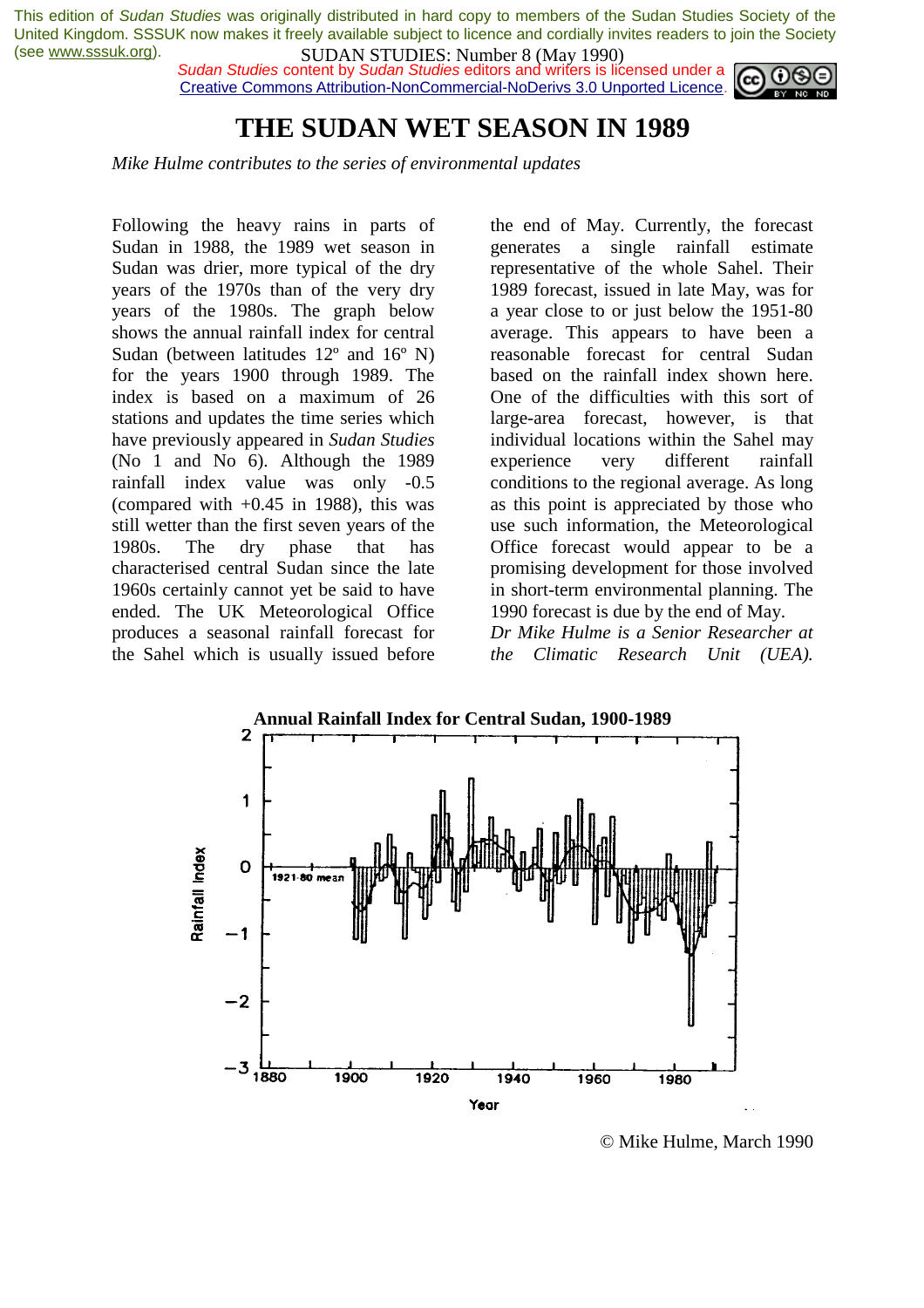*Sudan Studies* content by *Sudan Studies* editors and writers is licensed under a Creative Commons Attribution-NonCommercial-NoDerivs 3.0 Unported Licence.



### **THE SUDAN WET SEASON IN 1989**

*Mike Hulme contributes to the series of environmental updates* 

Following the heavy rains in parts of Sudan in 1988, the 1989 wet season in Sudan was drier, more typical of the dry years of the 1970s than of the very dry years of the 1980s. The graph below shows the annual rainfall index for central Sudan (between latitudes 12º and 16º N) for the years 1900 through 1989. The index is based on a maximum of 26 stations and updates the time series which have previously appeared in *Sudan Studies*  (No 1 and No 6). Although the 1989 rainfall index value was only -0.5 (compared with  $+0.45$  in 1988), this was still wetter than the first seven years of the 1980s. The dry phase that has characterised central Sudan since the late 1960s certainly cannot yet be said to have ended. The UK Meteorological Office produces a seasonal rainfall forecast for the Sahel which is usually issued before

the end of May. Currently, the forecast generates a single rainfall estimate representative of the whole Sahel. Their 1989 forecast, issued in late May, was for a year close to or just below the 1951-80 average. This appears to have been a reasonable forecast for central Sudan based on the rainfall index shown here. One of the difficulties with this sort of large-area forecast, however, is that individual locations within the Sahel may experience very different rainfall conditions to the regional average. As long as this point is appreciated by those who use such information, the Meteorological Office forecast would appear to be a promising development for those involved in short-term environmental planning. The 1990 forecast is due by the end of May.

*Dr Mike Hulme is a Senior Researcher at the Climatic Research Unit (UEA).*



© Mike Hulme, March 1990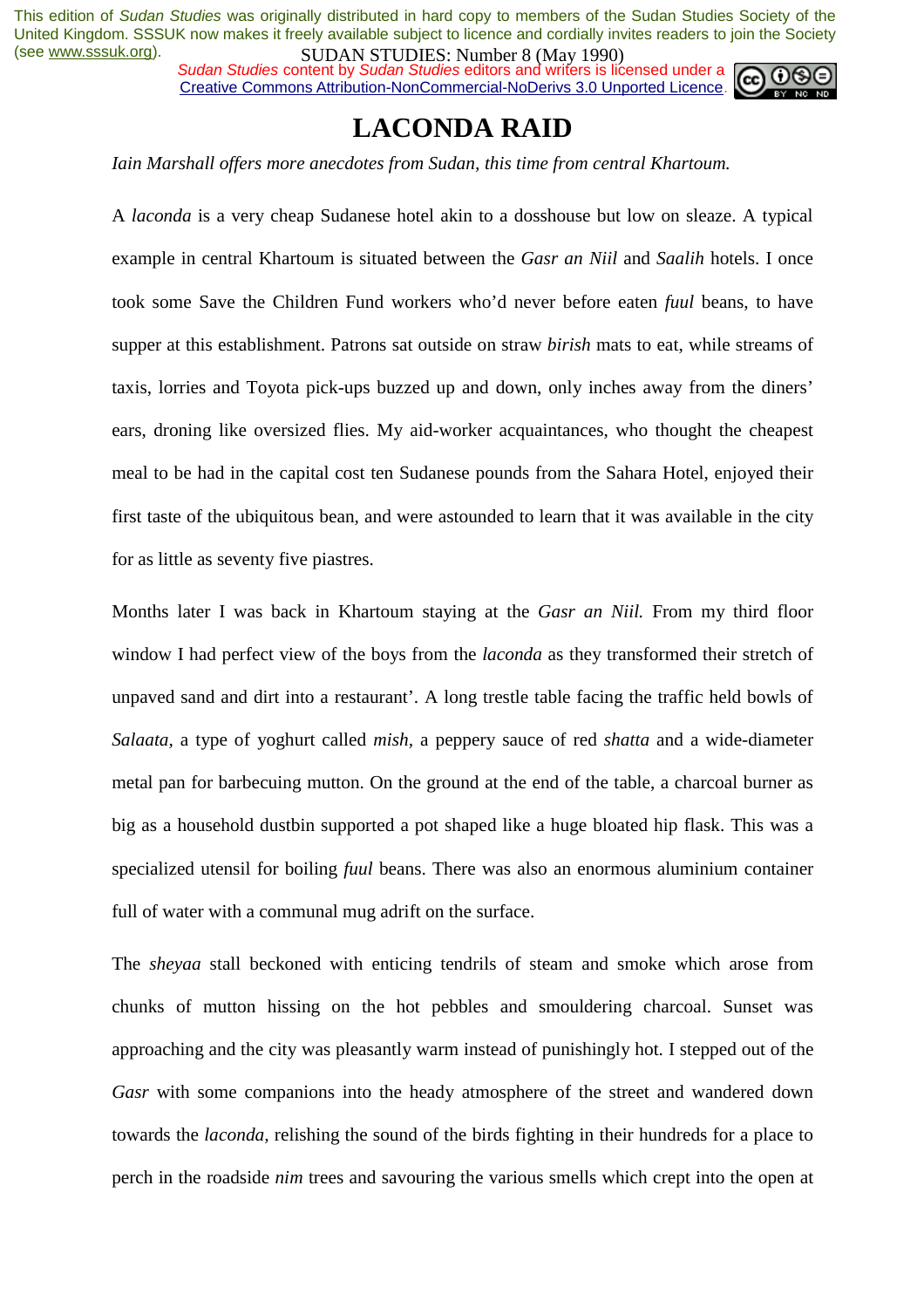*Sudan Studies* content by *Sudan Studies* editors and writers is licensed under a Creative Commons Attribution-NonCommercial-NoDerivs 3.0 Unported Licence.



# **LACONDA RAID**

*Iain Marshall offers more anecdotes from Sudan, this time from central Khartoum.* 

A *laconda* is a very cheap Sudanese hotel akin to a dosshouse but low on sleaze. A typical example in central Khartoum is situated between the *Gasr an Niil* and *Saalih* hotels. I once took some Save the Children Fund workers who'd never before eaten *fuul* beans, to have supper at this establishment. Patrons sat outside on straw *birish* mats to eat, while streams of taxis, lorries and Toyota pick-ups buzzed up and down, only inches away from the diners' ears, droning like oversized flies. My aid-worker acquaintances, who thought the cheapest meal to be had in the capital cost ten Sudanese pounds from the Sahara Hotel, enjoyed their first taste of the ubiquitous bean, and were astounded to learn that it was available in the city for as little as seventy five piastres.

Months later I was back in Khartoum staying at the *Gasr an Niil.* From my third floor window I had perfect view of the boys from the *laconda* as they transformed their stretch of unpaved sand and dirt into a restaurant'. A long trestle table facing the traffic held bowls of *Salaata,* a type of yoghurt called *mish,* a peppery sauce of red *shatta* and a wide-diameter metal pan for barbecuing mutton. On the ground at the end of the table, a charcoal burner as big as a household dustbin supported a pot shaped like a huge bloated hip flask. This was a specialized utensil for boiling *fuul* beans. There was also an enormous aluminium container full of water with a communal mug adrift on the surface.

The *sheyaa* stall beckoned with enticing tendrils of steam and smoke which arose from chunks of mutton hissing on the hot pebbles and smouldering charcoal. Sunset was approaching and the city was pleasantly warm instead of punishingly hot. I stepped out of the *Gasr* with some companions into the heady atmosphere of the street and wandered down towards the *laconda,* relishing the sound of the birds fighting in their hundreds for a place to perch in the roadside *nim* trees and savouring the various smells which crept into the open at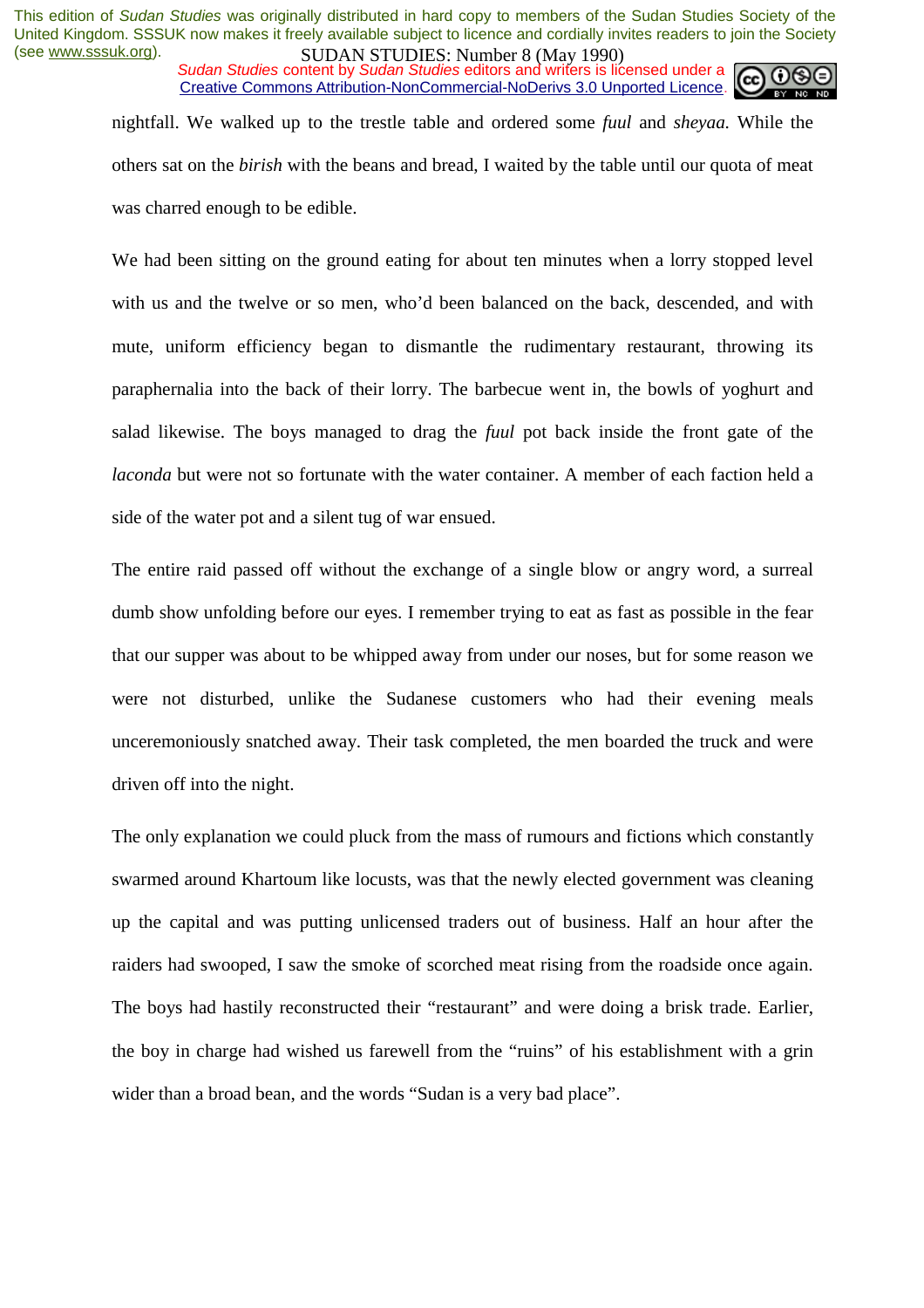*Sudan Studies* content by *Sudan Studies* editors and writers is licensed under a Creative Commons Attribution-NonCommercial-NoDerivs 3.0 Unported Licence.

nightfall. We walked up to the trestle table and ordered some *fuul* and *sheyaa.* While the others sat on the *birish* with the beans and bread, I waited by the table until our quota of meat was charred enough to be edible.

We had been sitting on the ground eating for about ten minutes when a lorry stopped level with us and the twelve or so men, who'd been balanced on the back, descended, and with mute, uniform efficiency began to dismantle the rudimentary restaurant, throwing its paraphernalia into the back of their lorry. The barbecue went in, the bowls of yoghurt and salad likewise. The boys managed to drag the *fuul* pot back inside the front gate of the *laconda* but were not so fortunate with the water container. A member of each faction held a side of the water pot and a silent tug of war ensued.

The entire raid passed off without the exchange of a single blow or angry word, a surreal dumb show unfolding before our eyes. I remember trying to eat as fast as possible in the fear that our supper was about to be whipped away from under our noses, but for some reason we were not disturbed, unlike the Sudanese customers who had their evening meals unceremoniously snatched away. Their task completed, the men boarded the truck and were driven off into the night.

The only explanation we could pluck from the mass of rumours and fictions which constantly swarmed around Khartoum like locusts, was that the newly elected government was cleaning up the capital and was putting unlicensed traders out of business. Half an hour after the raiders had swooped, I saw the smoke of scorched meat rising from the roadside once again. The boys had hastily reconstructed their "restaurant" and were doing a brisk trade. Earlier, the boy in charge had wished us farewell from the "ruins" of his establishment with a grin wider than a broad bean, and the words "Sudan is a very bad place".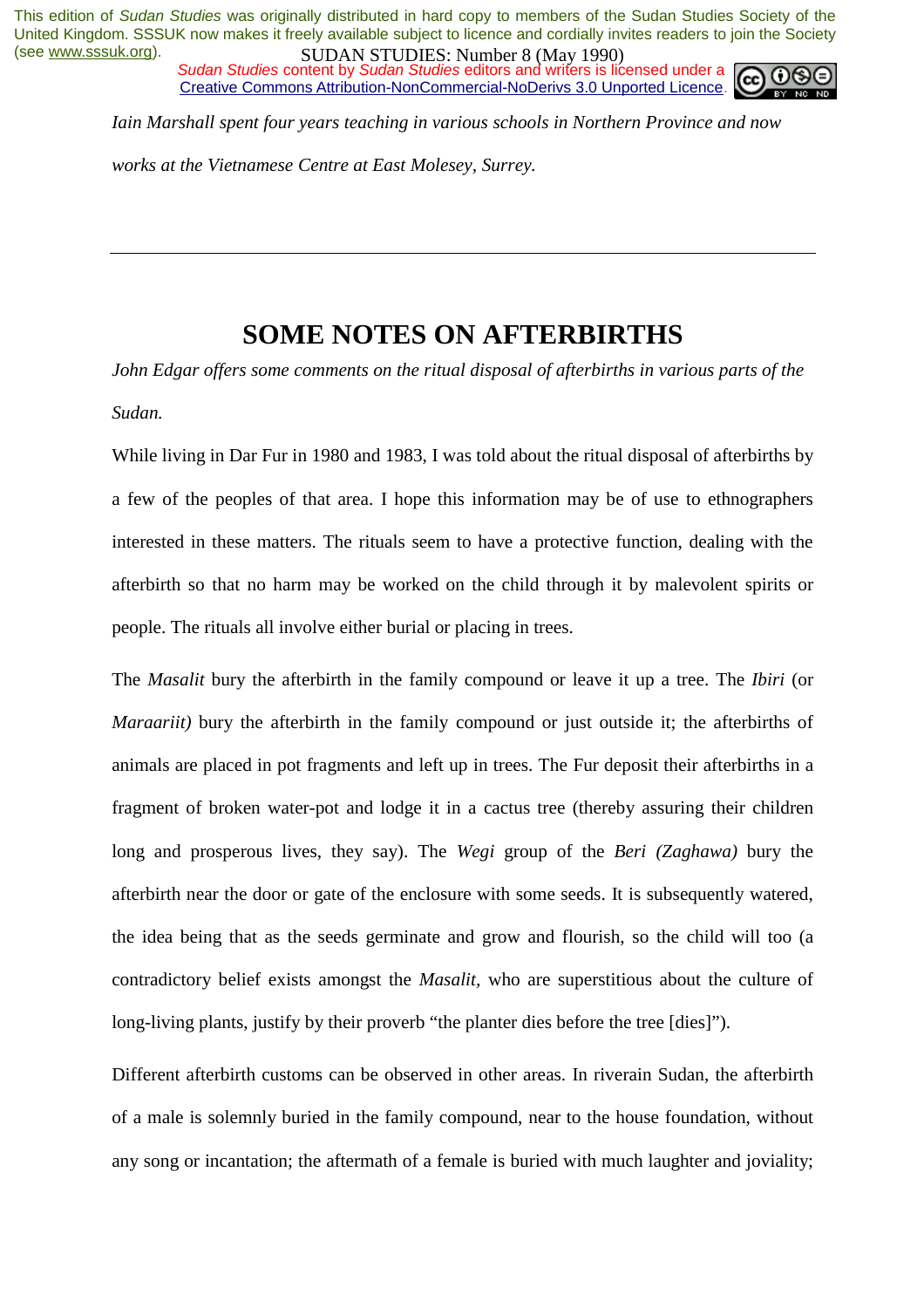*Sudan Studies* content by *Sudan Studies* editors and writers is licensed under a Creative Commons Attribution-NonCommercial-NoDerivs 3.0 Unported Licence.



*Iain Marshall spent four years teaching in various schools in Northern Province and now* 

*works at the Vietnamese Centre at East Molesey, Surrey.* 

## **SOME NOTES ON AFTERBIRTHS**

*John Edgar offers some comments on the ritual disposal of afterbirths in various parts of the Sudan.* 

While living in Dar Fur in 1980 and 1983, I was told about the ritual disposal of afterbirths by a few of the peoples of that area. I hope this information may be of use to ethnographers interested in these matters. The rituals seem to have a protective function, dealing with the afterbirth so that no harm may be worked on the child through it by malevolent spirits or people. The rituals all involve either burial or placing in trees.

The *Masalit* bury the afterbirth in the family compound or leave it up a tree. The *Ibiri* (or *Maraariit*) bury the afterbirth in the family compound or just outside it; the afterbirths of animals are placed in pot fragments and left up in trees. The Fur deposit their afterbirths in a fragment of broken water-pot and lodge it in a cactus tree (thereby assuring their children long and prosperous lives, they say). The *Wegi* group of the *Beri (Zaghawa)* bury the afterbirth near the door or gate of the enclosure with some seeds. It is subsequently watered, the idea being that as the seeds germinate and grow and flourish, so the child will too (a contradictory belief exists amongst the *Masalit,* who are superstitious about the culture of long-living plants, justify by their proverb "the planter dies before the tree [dies]").

Different afterbirth customs can be observed in other areas. In riverain Sudan, the afterbirth of a male is solemnly buried in the family compound, near to the house foundation, without any song or incantation; the aftermath of a female is buried with much laughter and joviality;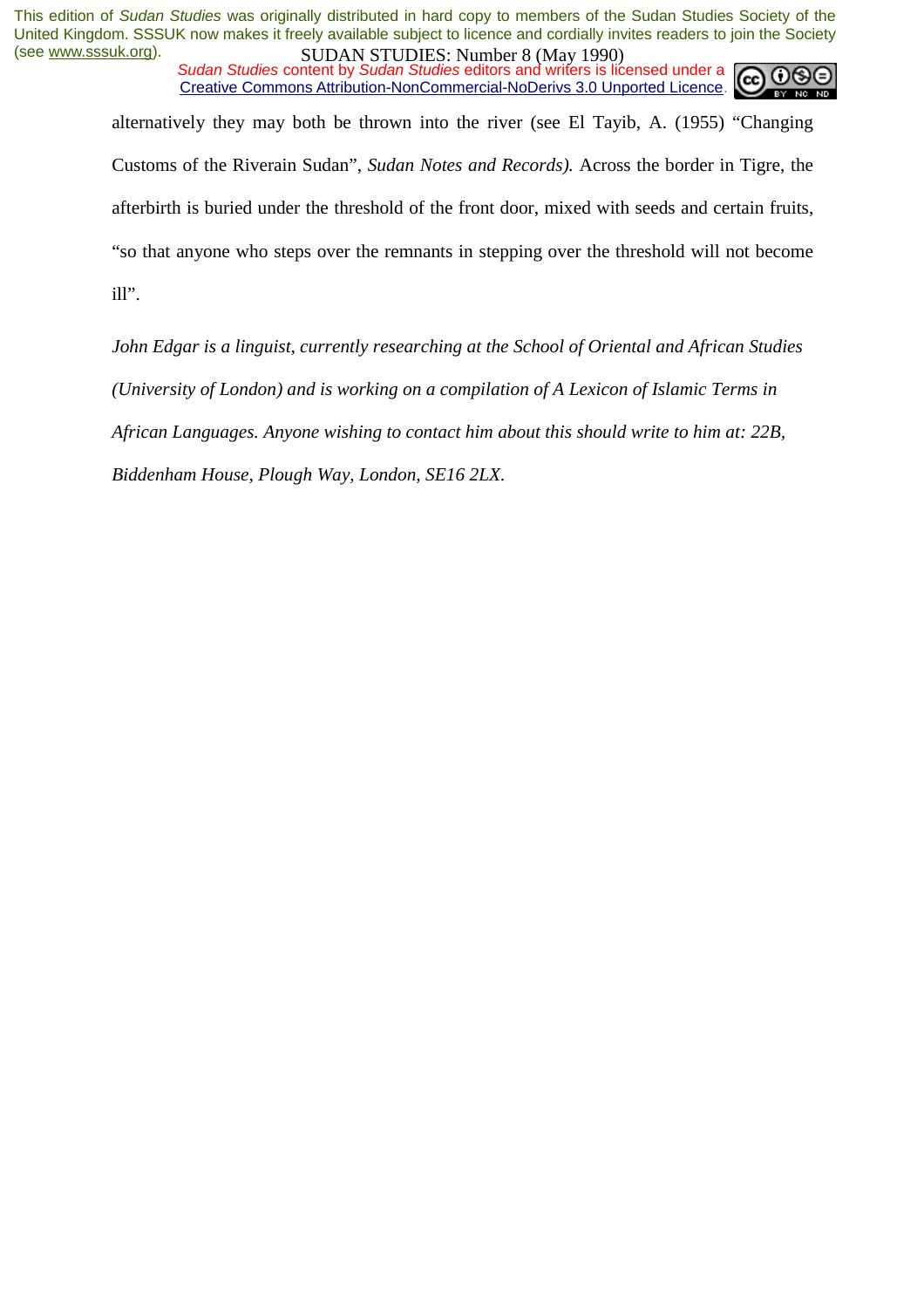*Sudan Studies* content by *Sudan Studies* editors and writers is licensed under a Creative Commons Attribution-NonCommercial-NoDerivs 3.0 Unported Licence.



alternatively they may both be thrown into the river (see El Tayib, A. (1955) "Changing Customs of the Riverain Sudan", *Sudan Notes and Records).* Across the border in Tigre, the afterbirth is buried under the threshold of the front door, mixed with seeds and certain fruits, "so that anyone who steps over the remnants in stepping over the threshold will not become ill".

*John Edgar is a linguist, currently researching at the School of Oriental and African Studies (University of London) and is working on a compilation of A Lexicon of Islamic Terms in African Languages. Anyone wishing to contact him about this should write to him at: 22B, Biddenham House, Plough Way, London, SE16 2LX.*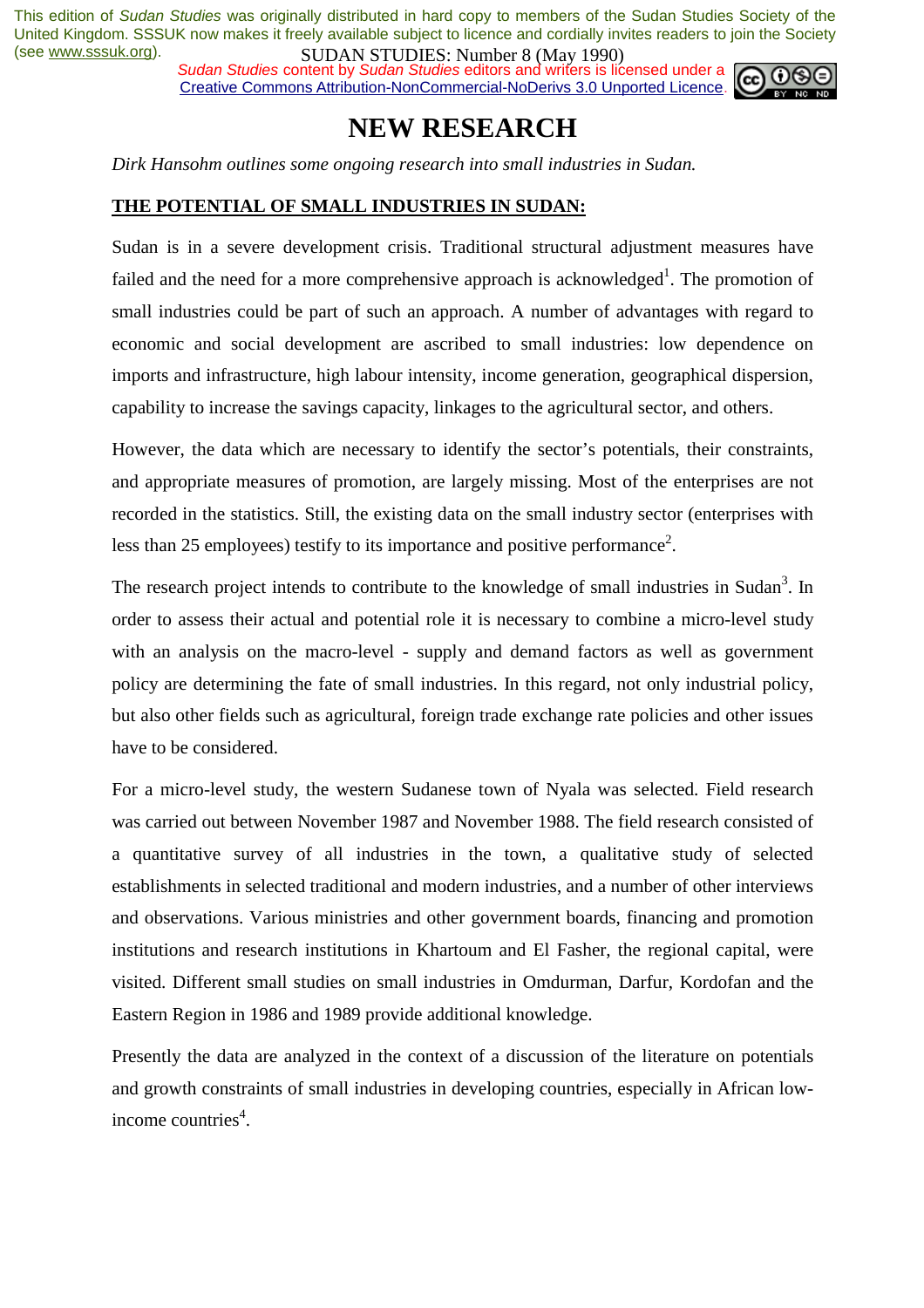*Sudan Studies* content by *Sudan Studies* editors and writers is licensed under a Creative Commons Attribution-NonCommercial-NoDerivs 3.0 Unported Licence.



# **NEW RESEARCH**

*Dirk Hansohm outlines some ongoing research into small industries in Sudan.* 

#### **THE POTENTIAL OF SMALL INDUSTRIES IN SUDAN:**

Sudan is in a severe development crisis. Traditional structural adjustment measures have failed and the need for a more comprehensive approach is acknowledged<sup>1</sup>. The promotion of small industries could be part of such an approach. A number of advantages with regard to economic and social development are ascribed to small industries: low dependence on imports and infrastructure, high labour intensity, income generation, geographical dispersion, capability to increase the savings capacity, linkages to the agricultural sector, and others.

However, the data which are necessary to identify the sector's potentials, their constraints, and appropriate measures of promotion, are largely missing. Most of the enterprises are not recorded in the statistics. Still, the existing data on the small industry sector (enterprises with less than 25 employees) testify to its importance and positive performance<sup>2</sup>.

The research project intends to contribute to the knowledge of small industries in Sudan<sup>3</sup>. In order to assess their actual and potential role it is necessary to combine a micro-level study with an analysis on the macro-level - supply and demand factors as well as government policy are determining the fate of small industries. In this regard, not only industrial policy, but also other fields such as agricultural, foreign trade exchange rate policies and other issues have to be considered.

For a micro-level study, the western Sudanese town of Nyala was selected. Field research was carried out between November 1987 and November 1988. The field research consisted of a quantitative survey of all industries in the town, a qualitative study of selected establishments in selected traditional and modern industries, and a number of other interviews and observations. Various ministries and other government boards, financing and promotion institutions and research institutions in Khartoum and El Fasher, the regional capital, were visited. Different small studies on small industries in Omdurman, Darfur, Kordofan and the Eastern Region in 1986 and 1989 provide additional knowledge.

Presently the data are analyzed in the context of a discussion of the literature on potentials and growth constraints of small industries in developing countries, especially in African lowincome countries<sup>4</sup>.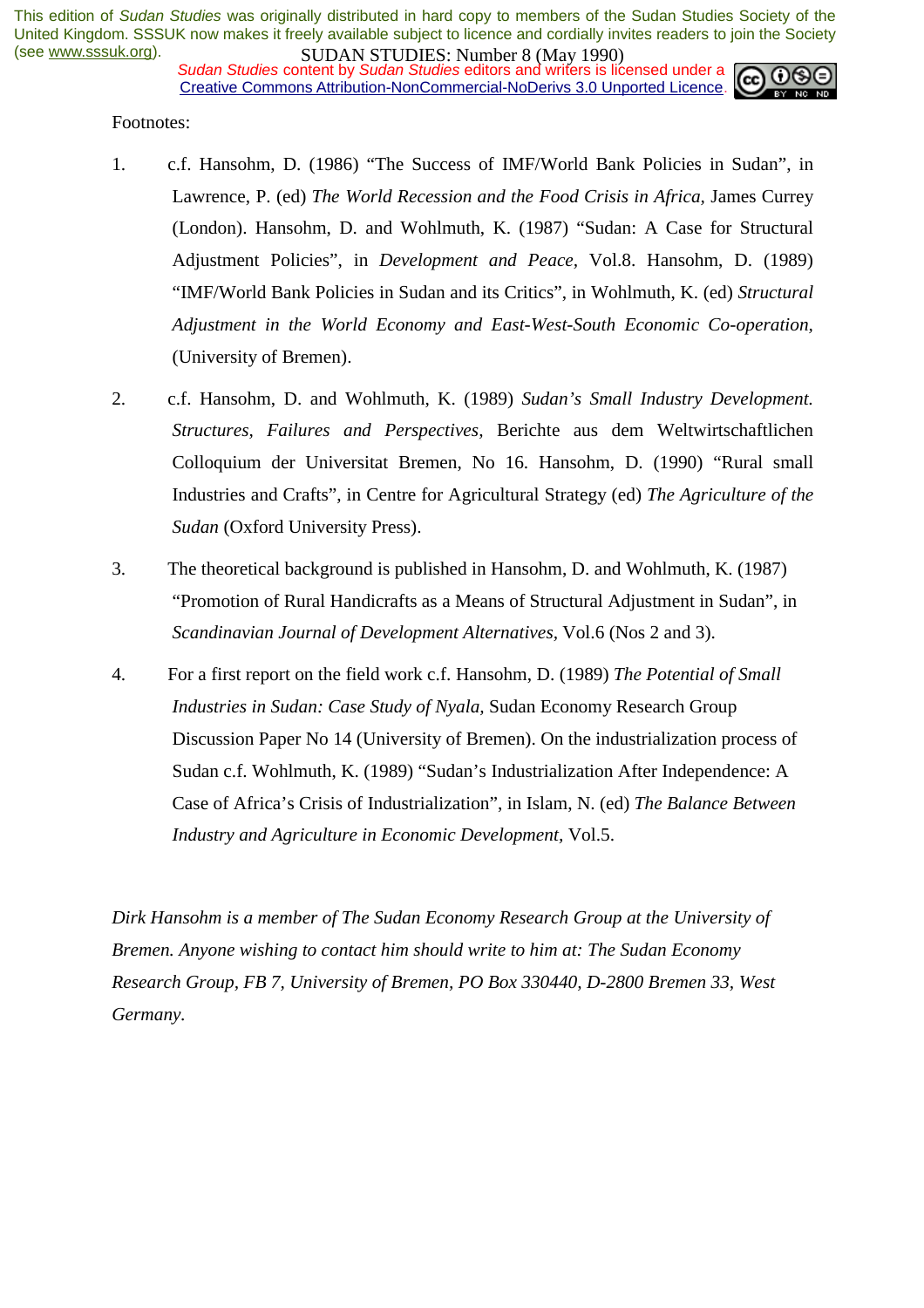**SUDAN STUDIES:** INDIFIED (1979)<br>Sudan Studies content by *Sudan Studies* editors and writers is licensed under a Creative Commons Attribution-NonCommercial-NoDerivs 3.0 Unported Licence.



Footnotes:

- 1. c.f. Hansohm, D. (1986) "The Success of IMF/World Bank Policies in Sudan", in Lawrence, P. (ed) *The World Recession and the Food Crisis in Africa*, James Currey (London). Hansohm, D. and Wohlmuth, K. (1987) "Sudan: A Case for Structural Adjustment Policies", in *Development and Peace,* Vol.8. Hansohm, D. (1989) "IMF/World Bank Policies in Sudan and its Critics", in Wohlmuth, K. (ed) *Structural Adjustment in the World Economy and East-West-South Economic Co-operation,*  (University of Bremen).
- 2. c.f. Hansohm, D. and Wohlmuth, K. (1989) *Sudan's Small Industry Development. Structures, Failures and Perspectives,* Berichte aus dem Weltwirtschaftlichen Colloquium der Universitat Bremen, No 16. Hansohm, D. (1990) "Rural small Industries and Crafts", in Centre for Agricultural Strategy (ed) *The Agriculture of the Sudan* (Oxford University Press).
- 3. The theoretical background is published in Hansohm, D. and Wohlmuth, K. (1987) "Promotion of Rural Handicrafts as a Means of Structural Adjustment in Sudan", in *Scandinavian Journal of Development Alternatives,* Vol.6 (Nos 2 and 3).
- 4. For a first report on the field work c.f. Hansohm, D. (1989) *The Potential of Small Industries in Sudan: Case Study of Nyala,* Sudan Economy Research Group Discussion Paper No 14 (University of Bremen). On the industrialization process of Sudan c.f. Wohlmuth, K. (1989) "Sudan's Industrialization After Independence: A Case of Africa's Crisis of Industrialization", in Islam, N. (ed) *The Balance Between Industry and Agriculture in Economic Development,* Vol.5.

*Dirk Hansohm is a member of The Sudan Economy Research Group at the University of Bremen. Anyone wishing to contact him should write to him at: The Sudan Economy Research Group, FB 7, University of Bremen, PO Box 330440, D-2800 Bremen 33, West Germany.*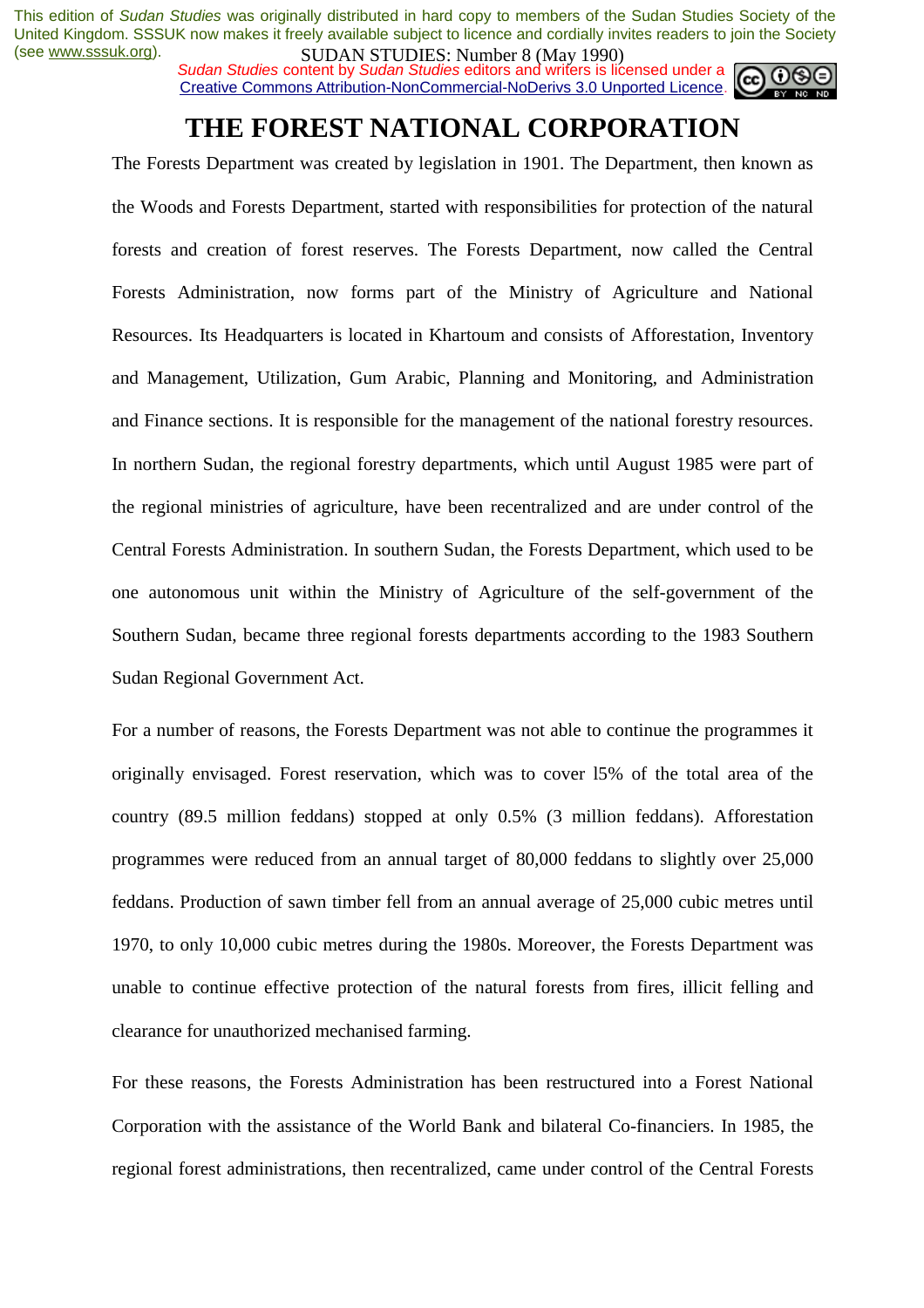*Sudan Studies* content by *Sudan Studies* editors and writers is licensed under a Creative Commons Attribution-NonCommercial-NoDerivs 3.0 Unported Licence.



# **THE FOREST NATIONAL CORPORATION**

The Forests Department was created by legislation in 1901. The Department, then known as the Woods and Forests Department, started with responsibilities for protection of the natural forests and creation of forest reserves. The Forests Department, now called the Central Forests Administration, now forms part of the Ministry of Agriculture and National Resources. Its Headquarters is located in Khartoum and consists of Afforestation, Inventory and Management, Utilization, Gum Arabic, Planning and Monitoring, and Administration and Finance sections. It is responsible for the management of the national forestry resources. In northern Sudan, the regional forestry departments, which until August 1985 were part of the regional ministries of agriculture, have been recentralized and are under control of the Central Forests Administration. In southern Sudan, the Forests Department, which used to be one autonomous unit within the Ministry of Agriculture of the self-government of the Southern Sudan, became three regional forests departments according to the 1983 Southern Sudan Regional Government Act.

For a number of reasons, the Forests Department was not able to continue the programmes it originally envisaged. Forest reservation, which was to cover l5% of the total area of the country (89.5 million feddans) stopped at only 0.5% (3 million feddans). Afforestation programmes were reduced from an annual target of 80,000 feddans to slightly over 25,000 feddans. Production of sawn timber fell from an annual average of 25,000 cubic metres until 1970, to only 10,000 cubic metres during the 1980s. Moreover, the Forests Department was unable to continue effective protection of the natural forests from fires, illicit felling and clearance for unauthorized mechanised farming.

For these reasons, the Forests Administration has been restructured into a Forest National Corporation with the assistance of the World Bank and bilateral Co-financiers. In 1985, the regional forest administrations, then recentralized, came under control of the Central Forests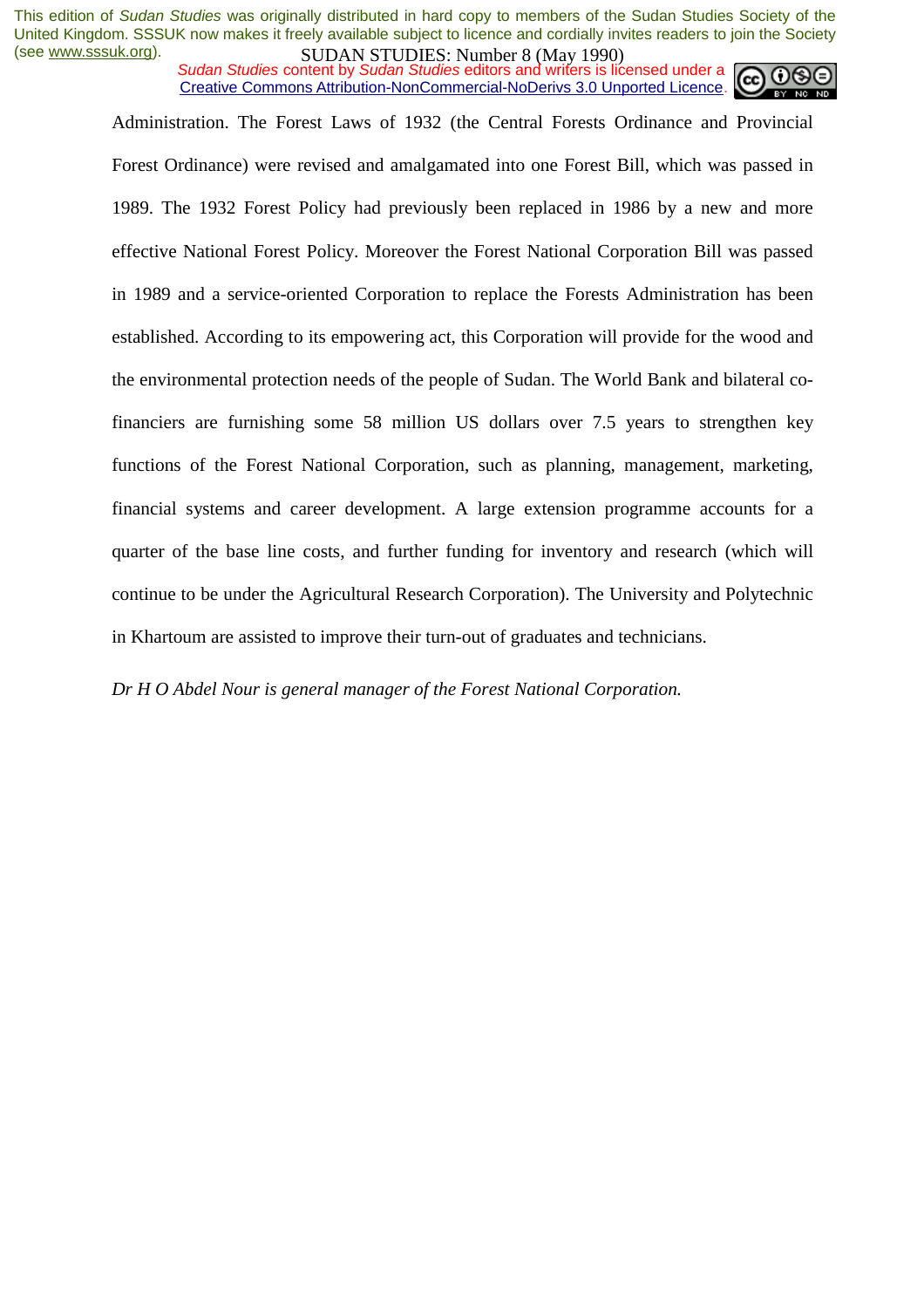*Sudan Studies* content by *Sudan Studies* editors and writers is licensed under a Creative Commons Attribution-NonCommercial-NoDerivs 3.0 Unported Licence.



Administration. The Forest Laws of 1932 (the Central Forests Ordinance and Provincial Forest Ordinance) were revised and amalgamated into one Forest Bill, which was passed in 1989. The 1932 Forest Policy had previously been replaced in 1986 by a new and more effective National Forest Policy. Moreover the Forest National Corporation Bill was passed in 1989 and a service-oriented Corporation to replace the Forests Administration has been established. According to its empowering act, this Corporation will provide for the wood and the environmental protection needs of the people of Sudan. The World Bank and bilateral cofinanciers are furnishing some 58 million US dollars over 7.5 years to strengthen key functions of the Forest National Corporation, such as planning, management, marketing, financial systems and career development. A large extension programme accounts for a quarter of the base line costs, and further funding for inventory and research (which will continue to be under the Agricultural Research Corporation). The University and Polytechnic in Khartoum are assisted to improve their turn-out of graduates and technicians.

*Dr H O Abdel Nour is general manager of the Forest National Corporation.*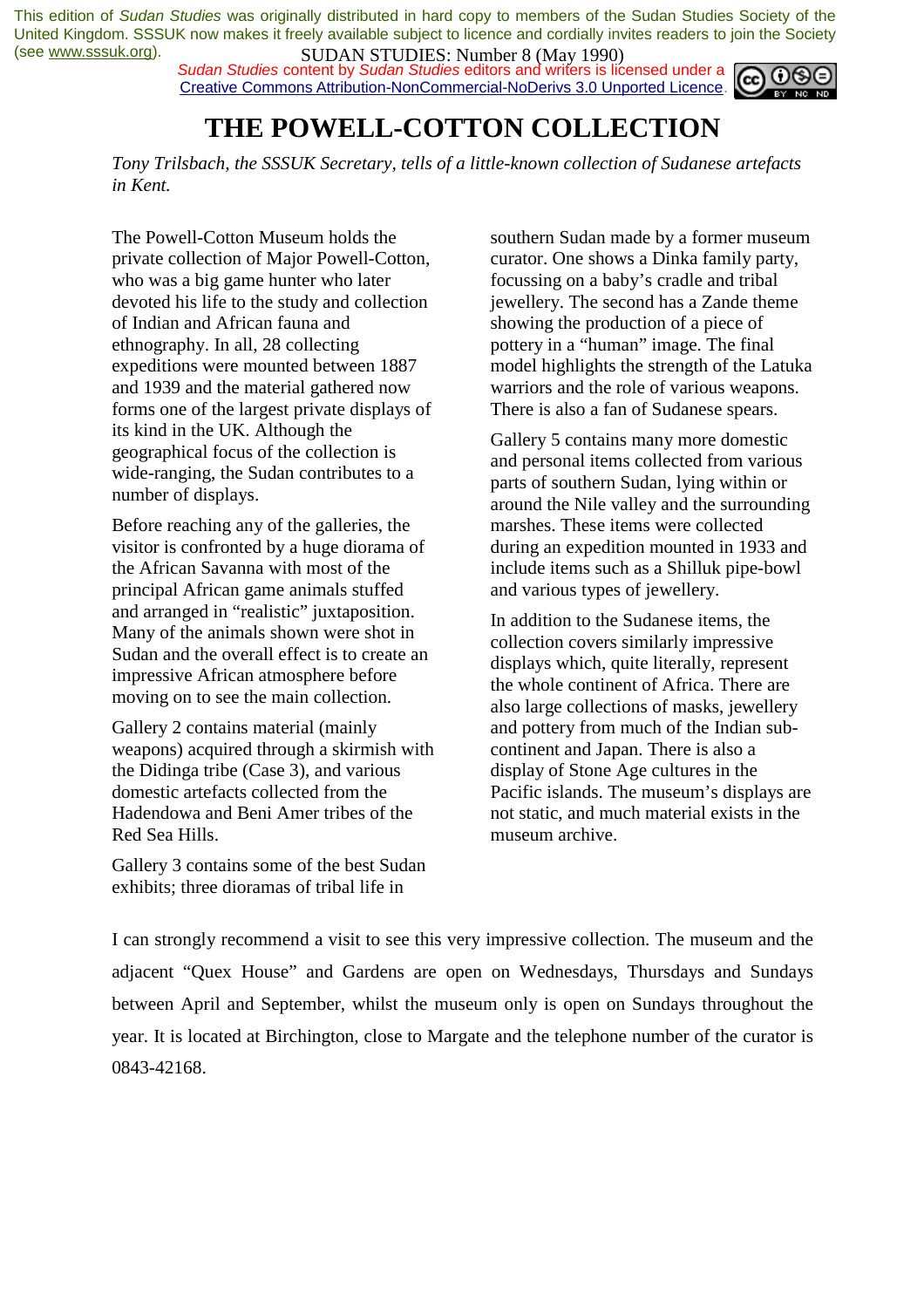*Sudan Studies* content by *Sudan Studies* editors and writers is licensed under a Creative Commons Attribution-NonCommercial-NoDerivs 3.0 Unported Licence.



# **THE POWELL-COTTON COLLECTION**

*Tony Trilsbach, the SSSUK Secretary, tells of a little-known collection of Sudanese artefacts in Kent.* 

The Powell-Cotton Museum holds the private collection of Major Powell-Cotton, who was a big game hunter who later devoted his life to the study and collection of Indian and African fauna and ethnography. In all, 28 collecting expeditions were mounted between 1887 and 1939 and the material gathered now forms one of the largest private displays of its kind in the UK. Although the geographical focus of the collection is wide-ranging, the Sudan contributes to a number of displays.

Before reaching any of the galleries, the visitor is confronted by a huge diorama of the African Savanna with most of the principal African game animals stuffed and arranged in "realistic" juxtaposition. Many of the animals shown were shot in Sudan and the overall effect is to create an impressive African atmosphere before moving on to see the main collection.

Gallery 2 contains material (mainly weapons) acquired through a skirmish with the Didinga tribe (Case 3), and various domestic artefacts collected from the Hadendowa and Beni Amer tribes of the Red Sea Hills.

Gallery 3 contains some of the best Sudan exhibits; three dioramas of tribal life in

southern Sudan made by a former museum curator. One shows a Dinka family party, focussing on a baby's cradle and tribal jewellery. The second has a Zande theme showing the production of a piece of pottery in a "human" image. The final model highlights the strength of the Latuka warriors and the role of various weapons. There is also a fan of Sudanese spears.

Gallery 5 contains many more domestic and personal items collected from various parts of southern Sudan, lying within or around the Nile valley and the surrounding marshes. These items were collected during an expedition mounted in 1933 and include items such as a Shilluk pipe-bowl and various types of jewellery.

In addition to the Sudanese items, the collection covers similarly impressive displays which, quite literally, represent the whole continent of Africa. There are also large collections of masks, jewellery and pottery from much of the Indian subcontinent and Japan. There is also a display of Stone Age cultures in the Pacific islands. The museum's displays are not static, and much material exists in the museum archive.

I can strongly recommend a visit to see this very impressive collection. The museum and the adjacent "Quex House" and Gardens are open on Wednesdays, Thursdays and Sundays between April and September, whilst the museum only is open on Sundays throughout the year. It is located at Birchington, close to Margate and the telephone number of the curator is 0843-42168.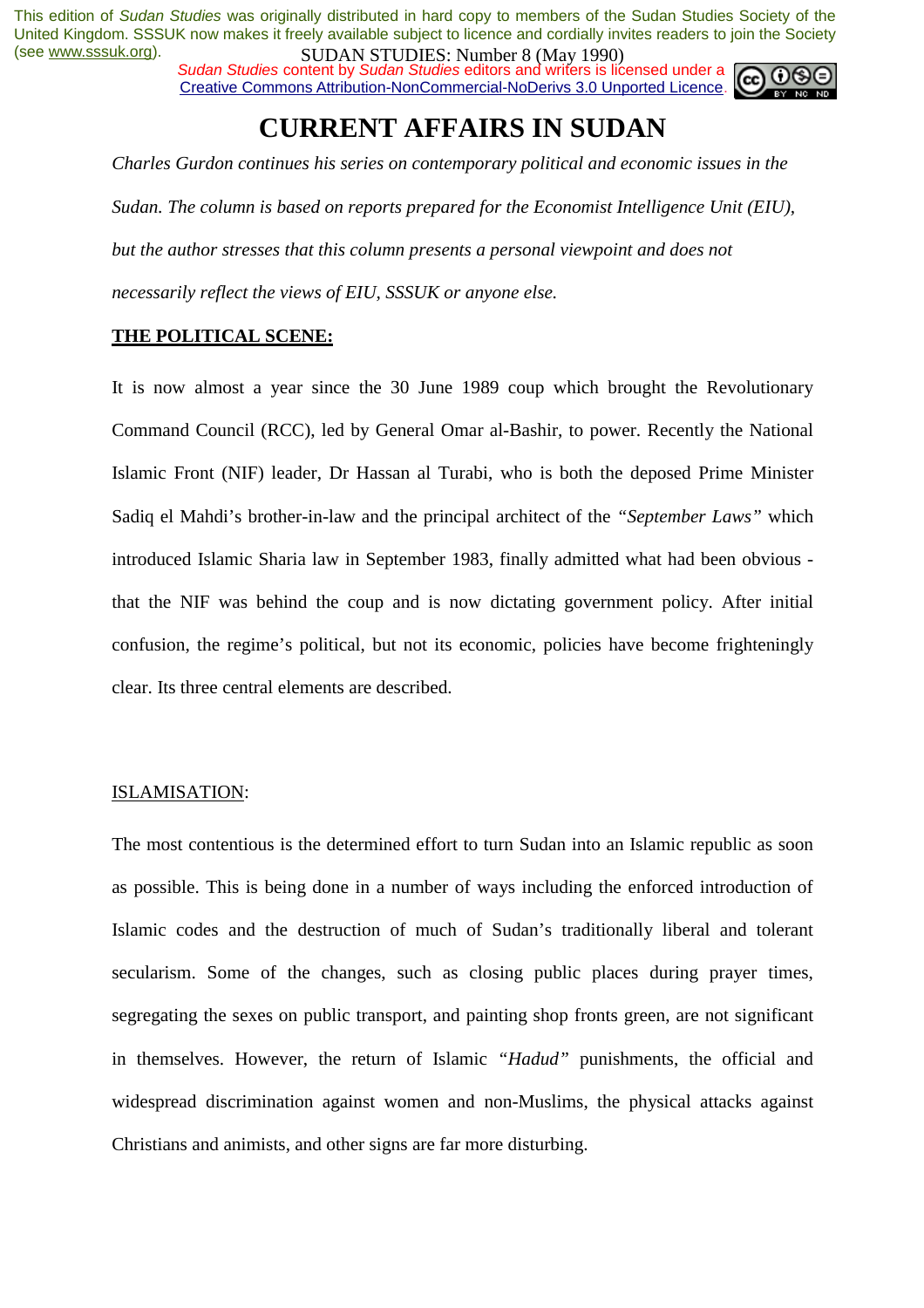*Sudan Studies* content by *Sudan Studies* editors and writers is licensed under a Creative Commons Attribution-NonCommercial-NoDerivs 3.0 Unported Licence.



# **CURRENT AFFAIRS IN SUDAN**

*Charles Gurdon continues his series on contemporary political and economic issues in the Sudan. The column is based on reports prepared for the Economist Intelligence Unit (EIU), but the author stresses that this column presents a personal viewpoint and does not necessarily reflect the views of EIU, SSSUK or anyone else.* 

#### **THE POLITICAL SCENE:**

It is now almost a year since the 30 June 1989 coup which brought the Revolutionary Command Council (RCC), led by General Omar al-Bashir, to power. Recently the National Islamic Front (NIF) leader, Dr Hassan al Turabi, who is both the deposed Prime Minister Sadiq el Mahdi's brother-in-law and the principal architect of the *"September Laws"* which introduced Islamic Sharia law in September 1983, finally admitted what had been obvious that the NIF was behind the coup and is now dictating government policy. After initial confusion, the regime's political, but not its economic, policies have become frighteningly clear. Its three central elements are described.

#### ISLAMISATION:

The most contentious is the determined effort to turn Sudan into an Islamic republic as soon as possible. This is being done in a number of ways including the enforced introduction of Islamic codes and the destruction of much of Sudan's traditionally liberal and tolerant secularism. Some of the changes, such as closing public places during prayer times, segregating the sexes on public transport, and painting shop fronts green, are not significant in themselves. However, the return of Islamic *"Hadud"* punishments, the official and widespread discrimination against women and non-Muslims, the physical attacks against Christians and animists, and other signs are far more disturbing.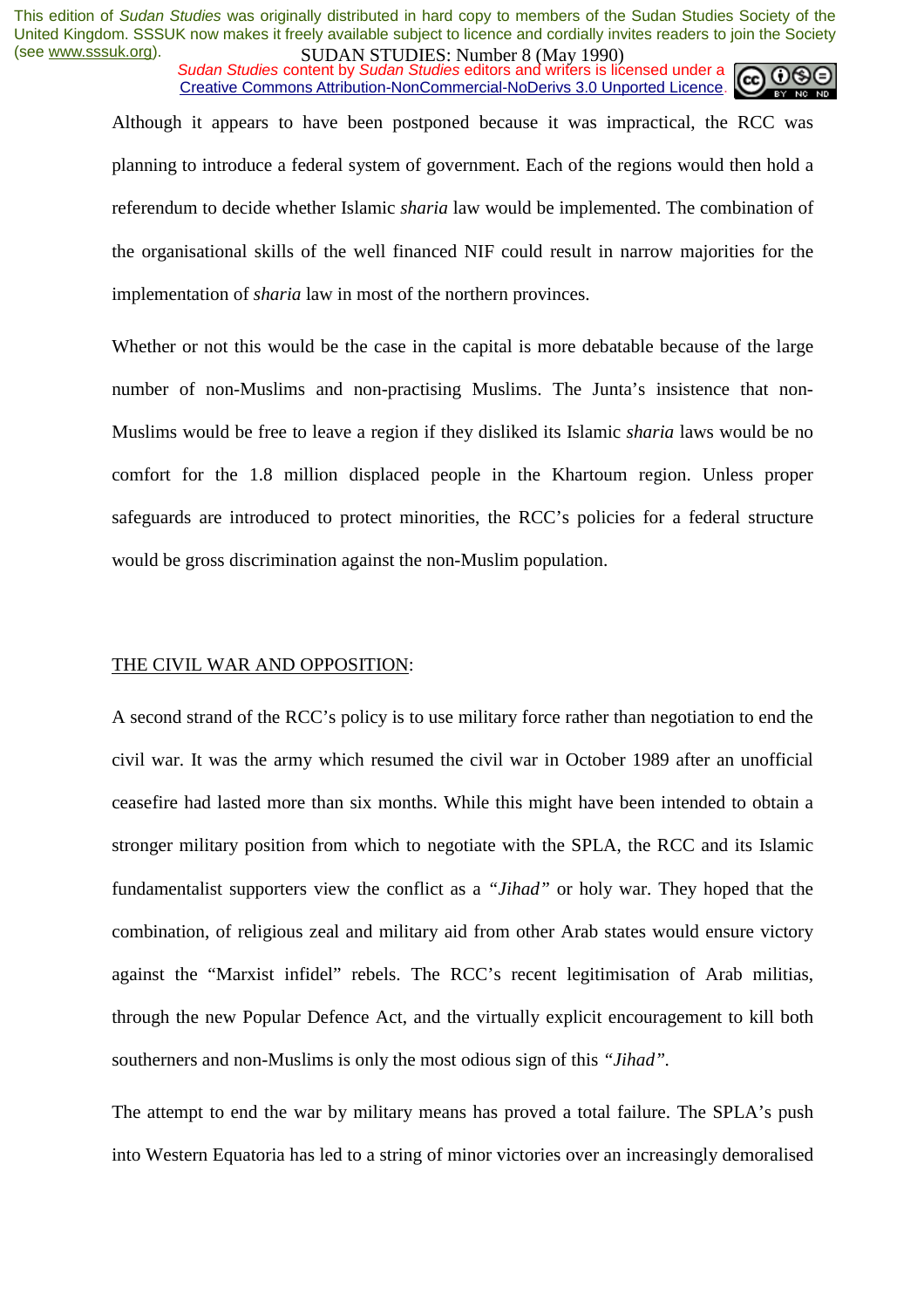*Sudan Studies* content by *Sudan Studies* editors and writers is licensed under a Creative Commons Attribution-NonCommercial-NoDerivs 3.0 Unported Licence.

Although it appears to have been postponed because it was impractical, the RCC was planning to introduce a federal system of government. Each of the regions would then hold a referendum to decide whether Islamic *sharia* law would be implemented. The combination of the organisational skills of the well financed NIF could result in narrow majorities for the implementation of *sharia* law in most of the northern provinces.

Whether or not this would be the case in the capital is more debatable because of the large number of non-Muslims and non-practising Muslims. The Junta's insistence that non-Muslims would be free to leave a region if they disliked its Islamic *sharia* laws would be no comfort for the 1.8 million displaced people in the Khartoum region. Unless proper safeguards are introduced to protect minorities, the RCC's policies for a federal structure would be gross discrimination against the non-Muslim population.

#### THE CIVIL WAR AND OPPOSITION:

A second strand of the RCC's policy is to use military force rather than negotiation to end the civil war. It was the army which resumed the civil war in October 1989 after an unofficial ceasefire had lasted more than six months. While this might have been intended to obtain a stronger military position from which to negotiate with the SPLA, the RCC and its Islamic fundamentalist supporters view the conflict as a *"Jihad"* or holy war. They hoped that the combination, of religious zeal and military aid from other Arab states would ensure victory against the "Marxist infidel" rebels. The RCC's recent legitimisation of Arab militias, through the new Popular Defence Act, and the virtually explicit encouragement to kill both southerners and non-Muslims is only the most odious sign of this *"Jihad".* 

The attempt to end the war by military means has proved a total failure. The SPLA's push into Western Equatoria has led to a string of minor victories over an increasingly demoralised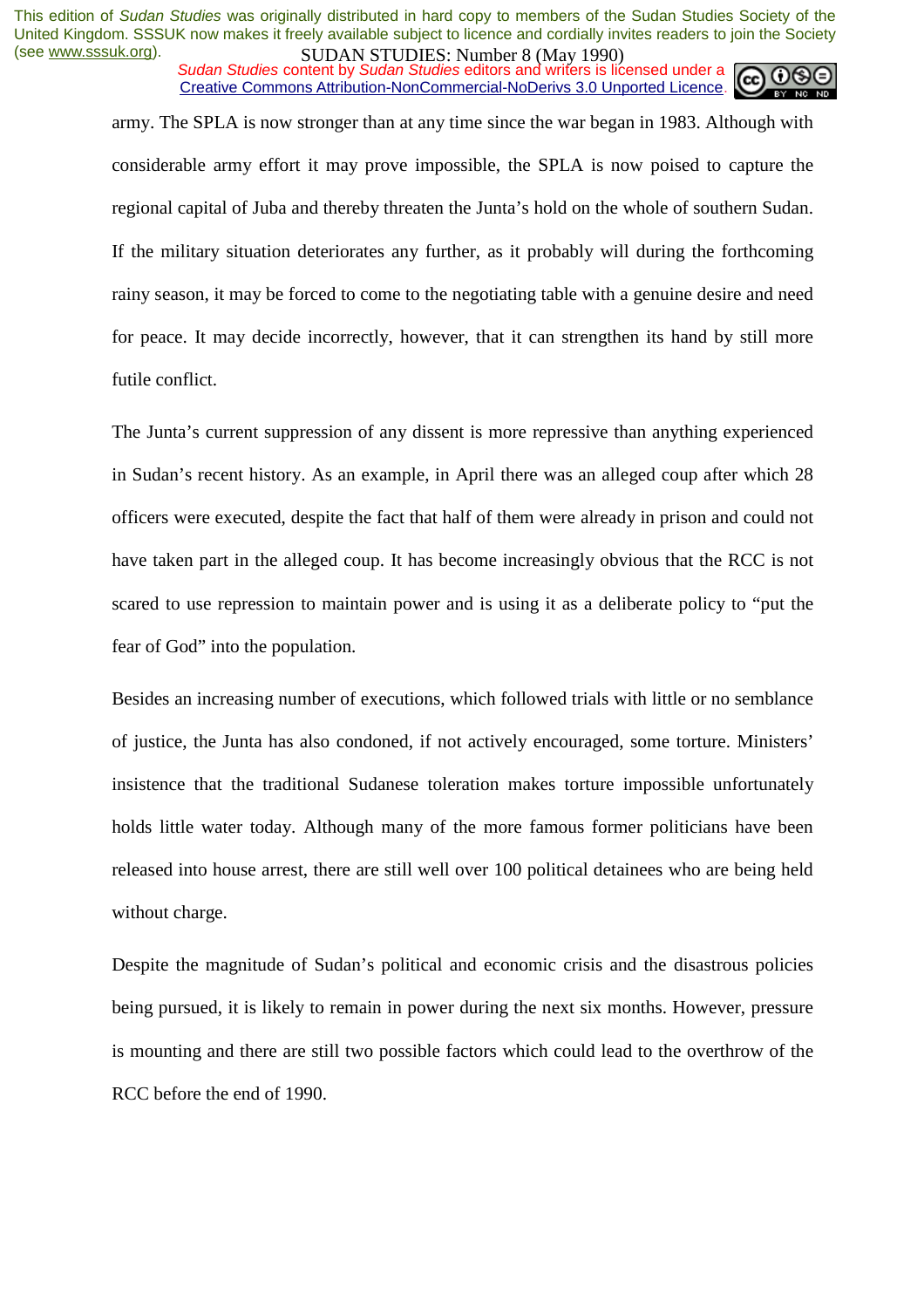*Sudan Studies* content by *Sudan Studies* editors and writers is licensed under a Creative Commons Attribution-NonCommercial-NoDerivs 3.0 Unported Licence.

army. The SPLA is now stronger than at any time since the war began in 1983. Although with considerable army effort it may prove impossible, the SPLA is now poised to capture the regional capital of Juba and thereby threaten the Junta's hold on the whole of southern Sudan. If the military situation deteriorates any further, as it probably will during the forthcoming rainy season, it may be forced to come to the negotiating table with a genuine desire and need for peace. It may decide incorrectly, however, that it can strengthen its hand by still more futile conflict.

The Junta's current suppression of any dissent is more repressive than anything experienced in Sudan's recent history. As an example, in April there was an alleged coup after which 28 officers were executed, despite the fact that half of them were already in prison and could not have taken part in the alleged coup. It has become increasingly obvious that the RCC is not scared to use repression to maintain power and is using it as a deliberate policy to "put the fear of God" into the population.

Besides an increasing number of executions, which followed trials with little or no semblance of justice, the Junta has also condoned, if not actively encouraged, some torture. Ministers' insistence that the traditional Sudanese toleration makes torture impossible unfortunately holds little water today. Although many of the more famous former politicians have been released into house arrest, there are still well over 100 political detainees who are being held without charge.

Despite the magnitude of Sudan's political and economic crisis and the disastrous policies being pursued, it is likely to remain in power during the next six months. However, pressure is mounting and there are still two possible factors which could lead to the overthrow of the RCC before the end of 1990.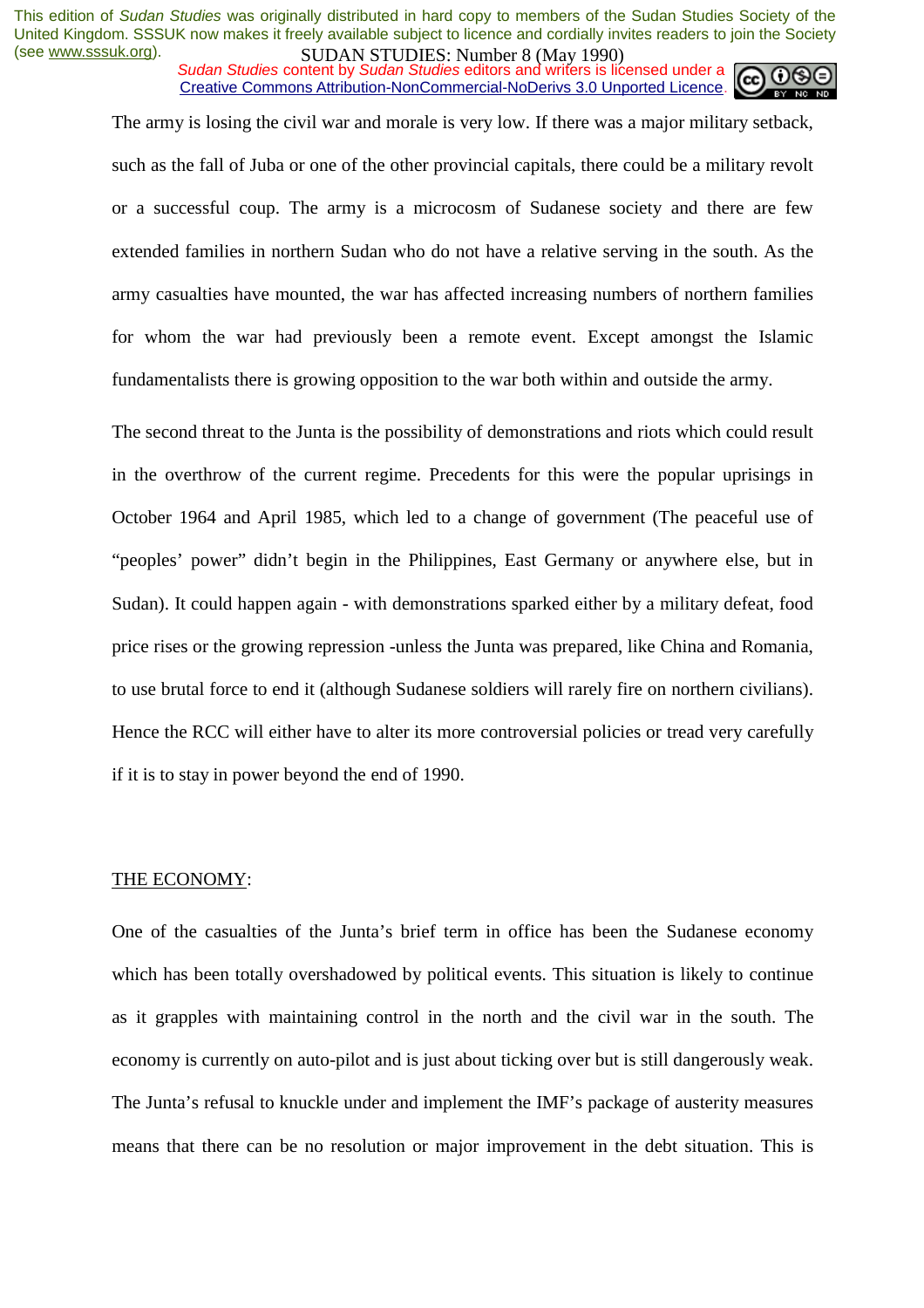*Sudan Studies* content by *Sudan Studies* editors and writers is licensed under a Creative Commons Attribution-NonCommercial-NoDerivs 3.0 Unported Licence.

The army is losing the civil war and morale is very low. If there was a major military setback,

such as the fall of Juba or one of the other provincial capitals, there could be a military revolt or a successful coup. The army is a microcosm of Sudanese society and there are few extended families in northern Sudan who do not have a relative serving in the south. As the army casualties have mounted, the war has affected increasing numbers of northern families for whom the war had previously been a remote event. Except amongst the Islamic fundamentalists there is growing opposition to the war both within and outside the army.

The second threat to the Junta is the possibility of demonstrations and riots which could result in the overthrow of the current regime. Precedents for this were the popular uprisings in October 1964 and April 1985, which led to a change of government (The peaceful use of "peoples' power" didn't begin in the Philippines, East Germany or anywhere else, but in Sudan). It could happen again - with demonstrations sparked either by a military defeat, food price rises or the growing repression -unless the Junta was prepared, like China and Romania, to use brutal force to end it (although Sudanese soldiers will rarely fire on northern civilians). Hence the RCC will either have to alter its more controversial policies or tread very carefully if it is to stay in power beyond the end of 1990.

#### THE ECONOMY:

One of the casualties of the Junta's brief term in office has been the Sudanese economy which has been totally overshadowed by political events. This situation is likely to continue as it grapples with maintaining control in the north and the civil war in the south. The economy is currently on auto-pilot and is just about ticking over but is still dangerously weak. The Junta's refusal to knuckle under and implement the IMF's package of austerity measures means that there can be no resolution or major improvement in the debt situation. This is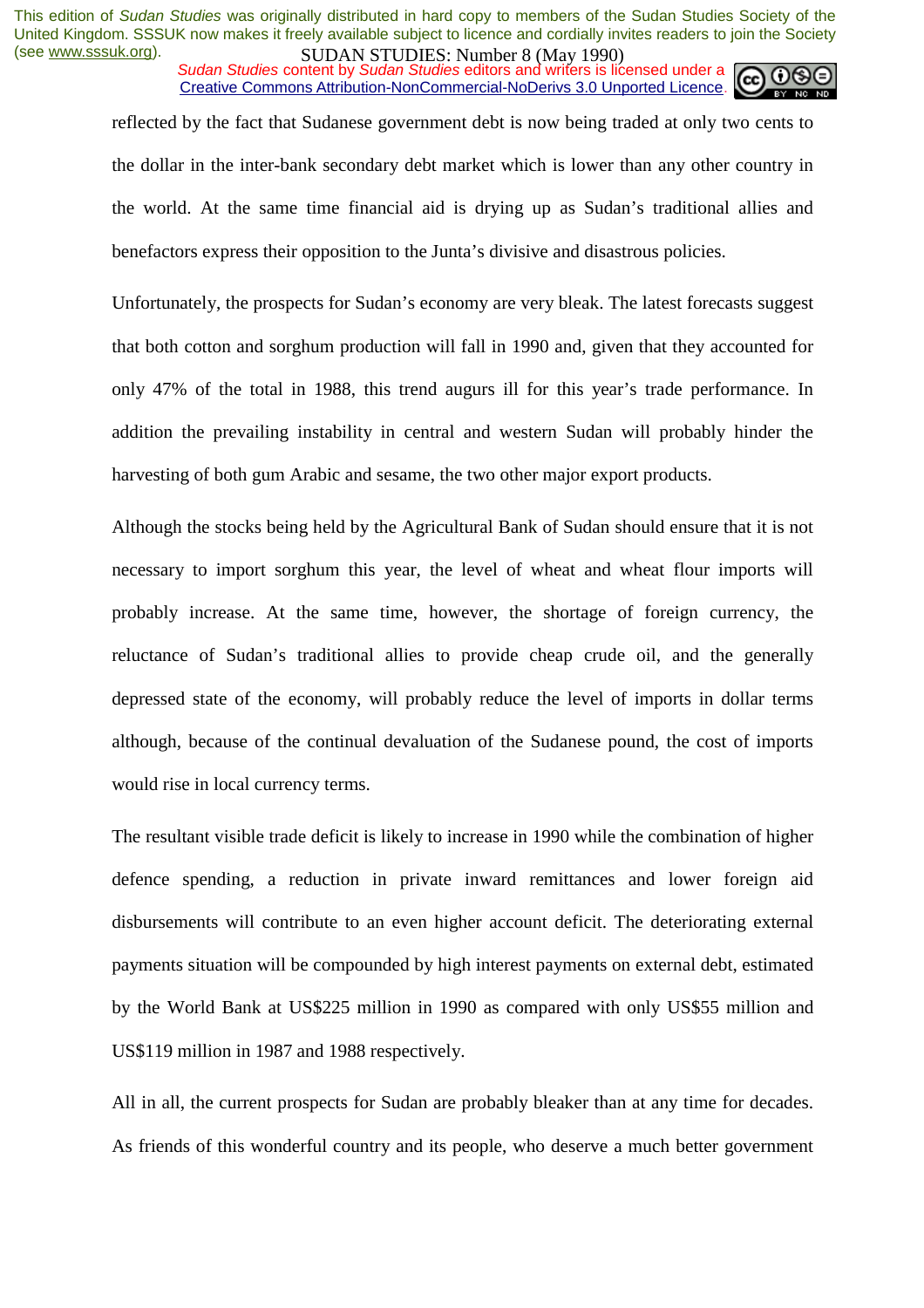*Sudan Studies* content by *Sudan Studies* editors and writers is licensed under a Creative Commons Attribution-NonCommercial-NoDerivs 3.0 Unported Licence.

reflected by the fact that Sudanese government debt is now being traded at only two cents to the dollar in the inter-bank secondary debt market which is lower than any other country in the world. At the same time financial aid is drying up as Sudan's traditional allies and benefactors express their opposition to the Junta's divisive and disastrous policies.

Unfortunately, the prospects for Sudan's economy are very bleak. The latest forecasts suggest that both cotton and sorghum production will fall in 1990 and, given that they accounted for only 47% of the total in 1988, this trend augurs ill for this year's trade performance. In addition the prevailing instability in central and western Sudan will probably hinder the harvesting of both gum Arabic and sesame, the two other major export products.

Although the stocks being held by the Agricultural Bank of Sudan should ensure that it is not necessary to import sorghum this year, the level of wheat and wheat flour imports will probably increase. At the same time, however, the shortage of foreign currency, the reluctance of Sudan's traditional allies to provide cheap crude oil, and the generally depressed state of the economy, will probably reduce the level of imports in dollar terms although, because of the continual devaluation of the Sudanese pound, the cost of imports would rise in local currency terms.

The resultant visible trade deficit is likely to increase in 1990 while the combination of higher defence spending, a reduction in private inward remittances and lower foreign aid disbursements will contribute to an even higher account deficit. The deteriorating external payments situation will be compounded by high interest payments on external debt, estimated by the World Bank at US\$225 million in 1990 as compared with only US\$55 million and US\$119 million in 1987 and 1988 respectively.

All in all, the current prospects for Sudan are probably bleaker than at any time for decades. As friends of this wonderful country and its people, who deserve a much better government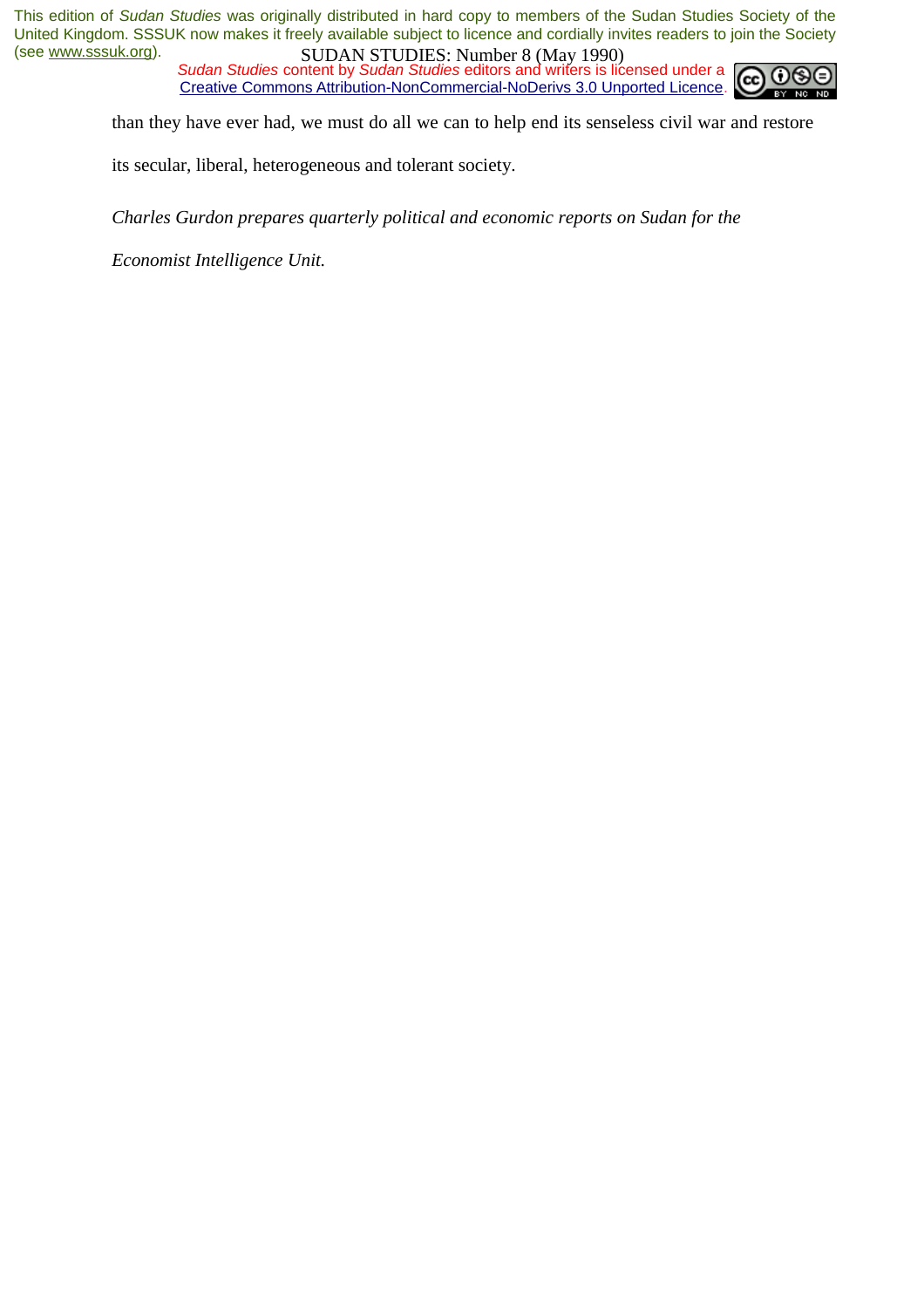*Sudan Studies* content by *Sudan Studies* editors and writers is licensed under a Creative Commons Attribution-NonCommercial-NoDerivs 3.0 Unported Licence.



than they have ever had, we must do all we can to help end its senseless civil war and restore

its secular, liberal, heterogeneous and tolerant society.

*Charles Gurdon prepares quarterly political and economic reports on Sudan for the* 

*Economist Intelligence Unit.*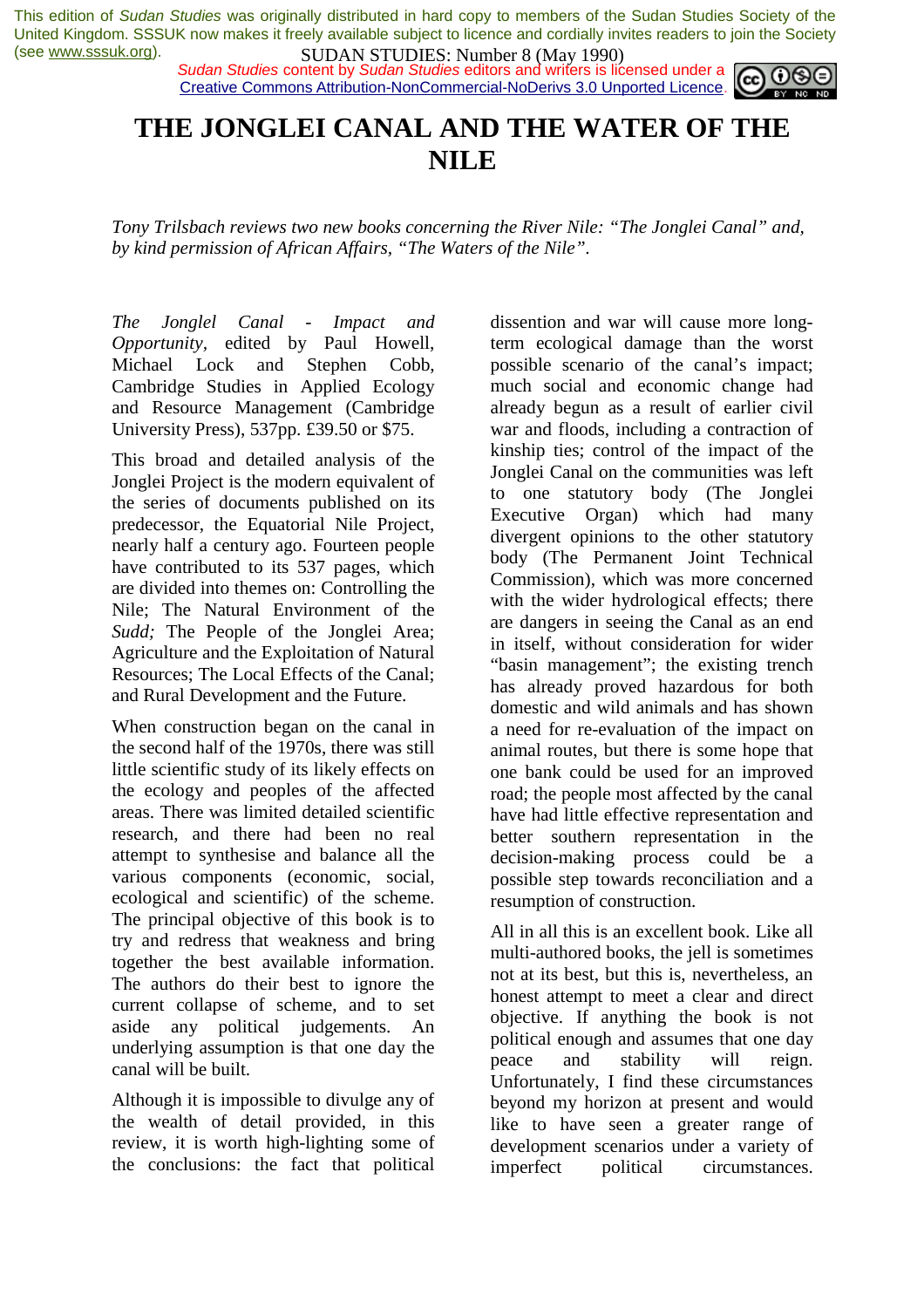*Sudan Studies* content by *Sudan Studies* editors and writers is licensed under a Creative Commons Attribution-NonCommercial-NoDerivs 3.0 Unported Licence.



# **THE JONGLEI CANAL AND THE WATER OF THE NILE**

*Tony Trilsbach reviews two new books concerning the River Nile: "The Jonglei Canal" and, by kind permission of African Affairs, "The Waters of the Nile".* 

*The Jonglel Canal* - *Impact and Opportunity,* edited by Paul Howell, Michael Lock and Stephen Cobb, Cambridge Studies in Applied Ecology and Resource Management (Cambridge University Press), 537pp. £39.50 or \$75.

This broad and detailed analysis of the Jonglei Project is the modern equivalent of the series of documents published on its predecessor, the Equatorial Nile Project, nearly half a century ago. Fourteen people have contributed to its 537 pages, which are divided into themes on: Controlling the Nile; The Natural Environment of the *Sudd;* The People of the Jonglei Area; Agriculture and the Exploitation of Natural Resources; The Local Effects of the Canal; and Rural Development and the Future.

When construction began on the canal in the second half of the 1970s, there was still little scientific study of its likely effects on the ecology and peoples of the affected areas. There was limited detailed scientific research, and there had been no real attempt to synthesise and balance all the various components (economic, social, ecological and scientific) of the scheme. The principal objective of this book is to try and redress that weakness and bring together the best available information. The authors do their best to ignore the current collapse of scheme, and to set aside any political judgements. An underlying assumption is that one day the canal will be built.

Although it is impossible to divulge any of the wealth of detail provided, in this review, it is worth high-lighting some of the conclusions: the fact that political dissention and war will cause more longterm ecological damage than the worst possible scenario of the canal's impact; much social and economic change had already begun as a result of earlier civil war and floods, including a contraction of kinship ties; control of the impact of the Jonglei Canal on the communities was left to one statutory body (The Jonglei Executive Organ) which had many divergent opinions to the other statutory body (The Permanent Joint Technical Commission), which was more concerned with the wider hydrological effects; there are dangers in seeing the Canal as an end in itself, without consideration for wider "basin management"; the existing trench has already proved hazardous for both domestic and wild animals and has shown a need for re-evaluation of the impact on animal routes, but there is some hope that one bank could be used for an improved road; the people most affected by the canal have had little effective representation and better southern representation in the decision-making process could be a possible step towards reconciliation and a resumption of construction.

All in all this is an excellent book. Like all multi-authored books, the jell is sometimes not at its best, but this is, nevertheless, an honest attempt to meet a clear and direct objective. If anything the book is not political enough and assumes that one day peace and stability will reign. Unfortunately, I find these circumstances beyond my horizon at present and would like to have seen a greater range of development scenarios under a variety of imperfect political circumstances.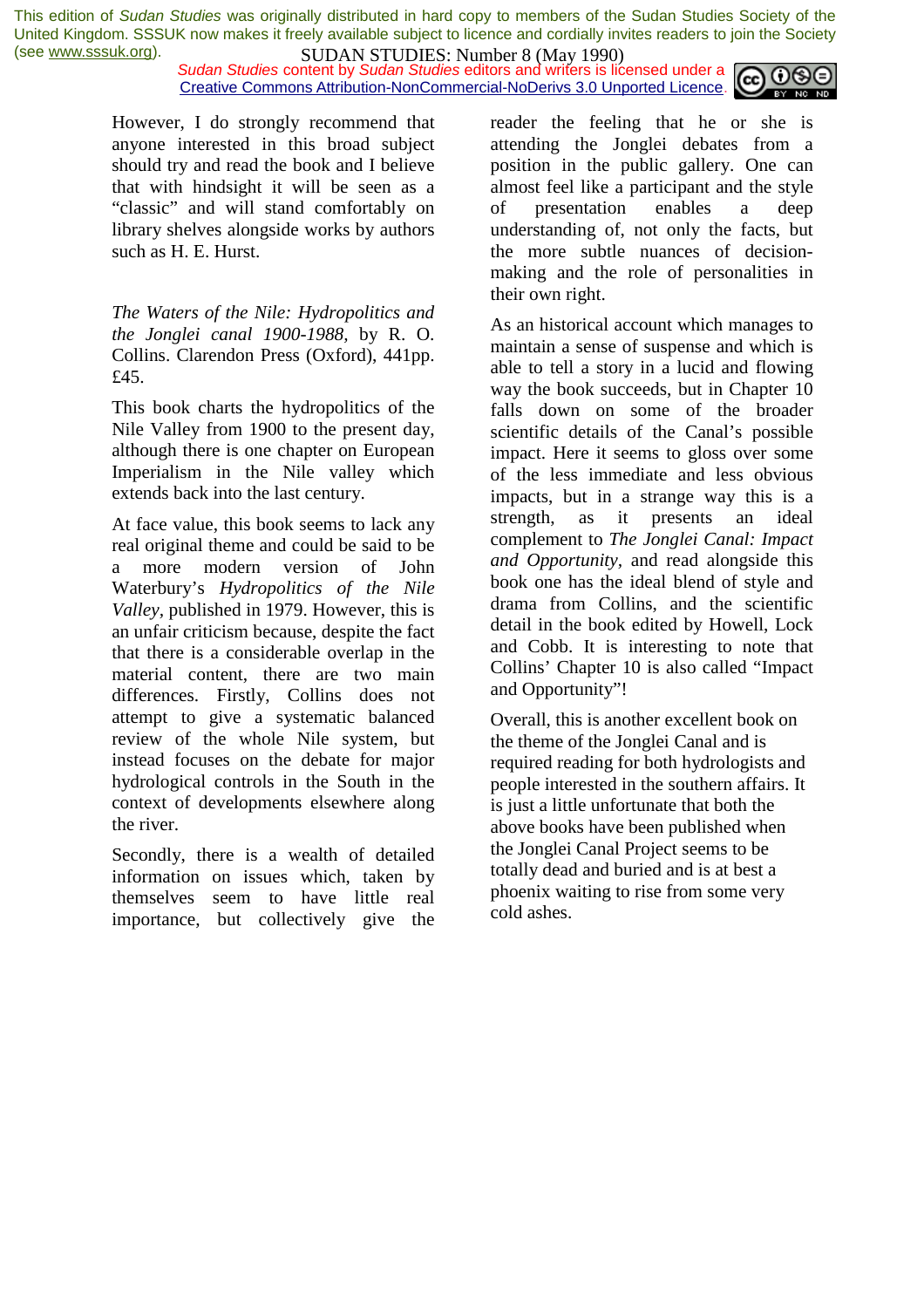**SUDAN STUDIES:** Number 6 (1914) 1220)<br>*Sudan Studies* content by *Sudan Studies* editors and writers is licensed under a  $\omega$  090 Creative Commons Attribution-NonCommercial-NoDerivs 3.0 Unported Licence.



However, I do strongly recommend that anyone interested in this broad subject should try and read the book and I believe that with hindsight it will be seen as a "classic" and will stand comfortably on library shelves alongside works by authors such as H. E. Hurst.

*The Waters of the Nile: Hydropolitics and the Jonglei canal 1900-1988,* by R. O. Collins. Clarendon Press (Oxford), 441pp. £45.

This book charts the hydropolitics of the Nile Valley from 1900 to the present day, although there is one chapter on European Imperialism in the Nile valley which extends back into the last century.

At face value, this book seems to lack any real original theme and could be said to be a more modern version of John Waterbury's *Hydropolitics of the Nile Valley,* published in 1979. However, this is an unfair criticism because, despite the fact that there is a considerable overlap in the material content, there are two main differences. Firstly, Collins does not attempt to give a systematic balanced review of the whole Nile system, but instead focuses on the debate for major hydrological controls in the South in the context of developments elsewhere along the river.

Secondly, there is a wealth of detailed information on issues which, taken by themselves seem to have little real importance, but collectively give the

reader the feeling that he or she is attending the Jonglei debates from a position in the public gallery. One can almost feel like a participant and the style of presentation enables a deep understanding of, not only the facts, but the more subtle nuances of decisionmaking and the role of personalities in their own right.

As an historical account which manages to maintain a sense of suspense and which is able to tell a story in a lucid and flowing way the book succeeds, but in Chapter 10 falls down on some of the broader scientific details of the Canal's possible impact. Here it seems to gloss over some of the less immediate and less obvious impacts, but in a strange way this is a strength, as it presents an ideal complement to *The Jonglei Canal: Impact and Opportunity,* and read alongside this book one has the ideal blend of style and drama from Collins, and the scientific detail in the book edited by Howell, Lock and Cobb. It is interesting to note that Collins' Chapter 10 is also called "Impact and Opportunity"!

Overall, this is another excellent book on the theme of the Jonglei Canal and is required reading for both hydrologists and people interested in the southern affairs. It is just a little unfortunate that both the above books have been published when the Jonglei Canal Project seems to be totally dead and buried and is at best a phoenix waiting to rise from some very cold ashes.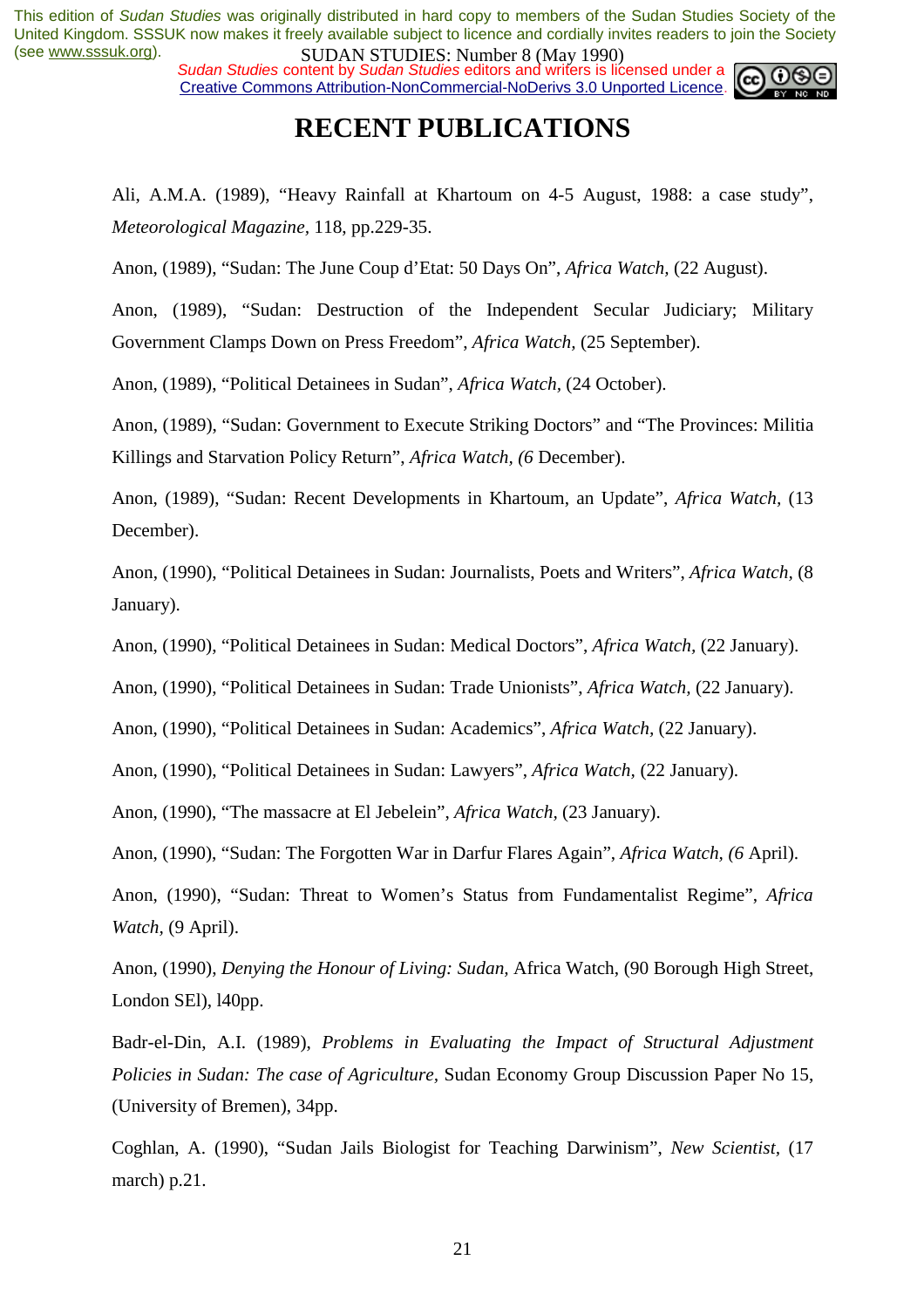*Sudan Studies* content by *Sudan Studies* editors and writers is licensed under a Creative Commons Attribution-NonCommercial-NoDerivs 3.0 Unported Licence.



# **RECENT PUBLICATIONS**

Ali, A.M.A. (1989), "Heavy Rainfall at Khartoum on 4-5 August, 1988: a case study", *Meteorological Magazine,* 118, pp.229-35.

Anon, (1989), "Sudan: The June Coup d'Etat: 50 Days On", *Africa Watch,* (22 August).

Anon, (1989), "Sudan: Destruction of the Independent Secular Judiciary; Military Government Clamps Down on Press Freedom", *Africa Watch,* (25 September).

Anon, (1989), "Political Detainees in Sudan", *Africa Watch,* (24 October).

Anon, (1989), "Sudan: Government to Execute Striking Doctors" and "The Provinces: Militia Killings and Starvation Policy Return", *Africa Watch, (6* December).

Anon, (1989), "Sudan: Recent Developments in Khartoum, an Update", *Africa Watch,* (13 December).

Anon, (1990), "Political Detainees in Sudan: Journalists, Poets and Writers", *Africa Watch,* (8 January).

Anon, (1990), "Political Detainees in Sudan: Medical Doctors", *Africa Watch,* (22 January).

Anon, (1990), "Political Detainees in Sudan: Trade Unionists", *Africa Watch,* (22 January).

Anon, (1990), "Political Detainees in Sudan: Academics", *Africa Watch,* (22 January).

Anon, (1990), "Political Detainees in Sudan: Lawyers", *Africa Watch,* (22 January).

Anon, (1990), "The massacre at El Jebelein", *Africa Watch,* (23 January).

Anon, (1990), "Sudan: The Forgotten War in Darfur Flares Again", *Africa Watch, (6* April).

Anon, (1990), "Sudan: Threat to Women's Status from Fundamentalist Regime", *Africa Watch,* (9 April).

Anon, (1990), *Denying the Honour of Living: Sudan,* Africa Watch, (90 Borough High Street, London SEl), l40pp.

Badr-el-Din, A.I. (1989), *Problems in Evaluating the Impact of Structural Adjustment Policies in Sudan: The case of Agriculture,* Sudan Economy Group Discussion Paper No 15, (University of Bremen), 34pp.

Coghlan, A. (1990), "Sudan Jails Biologist for Teaching Darwinism", *New Scientist,* (17 march) p.21.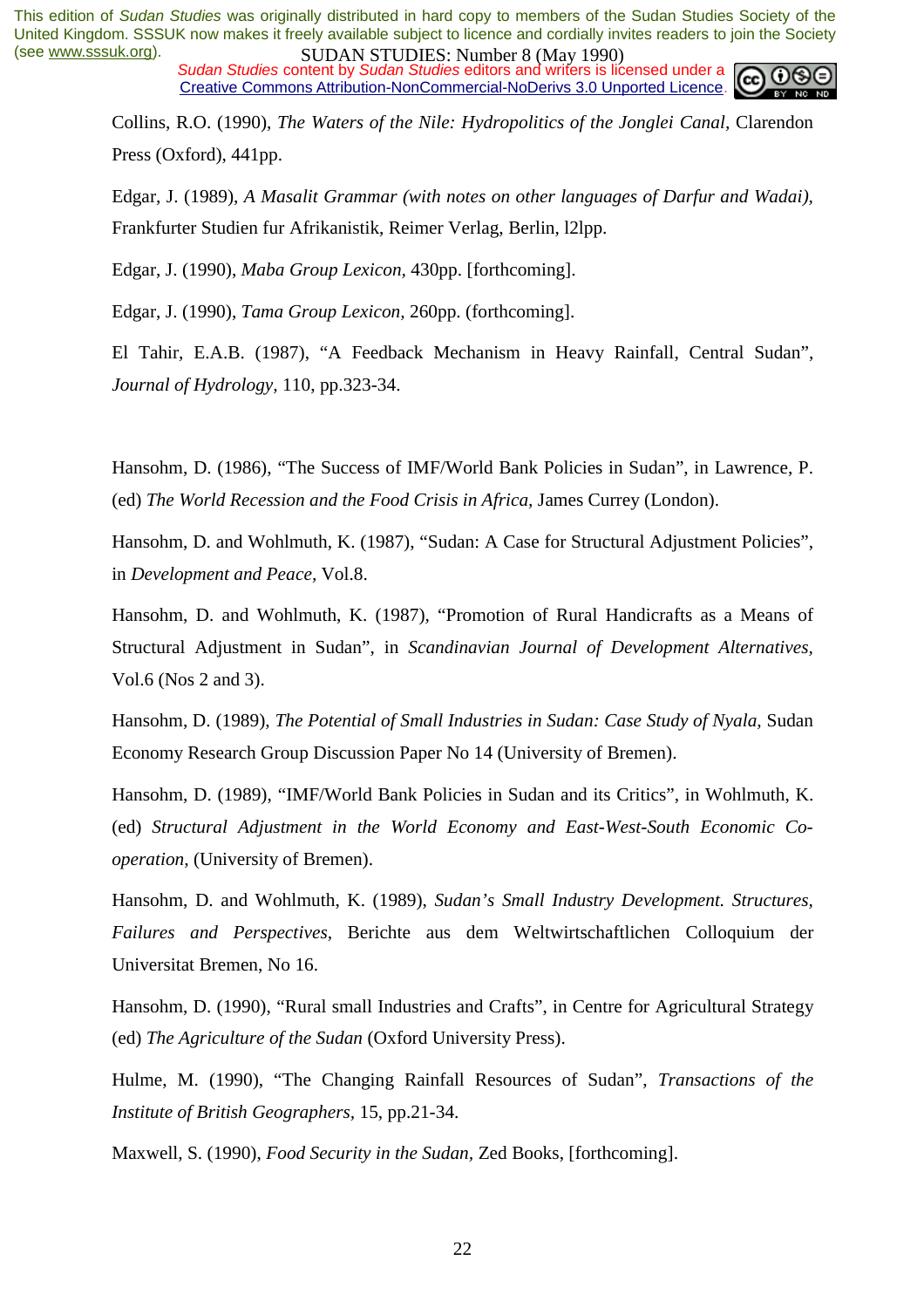*Sudan Studies* content by *Sudan Studies* editors and writers is licensed under a Creative Commons Attribution-NonCommercial-NoDerivs 3.0 Unported Licence.



Collins, R.O. (1990), *The Waters of the Nile: Hydropolitics of the Jonglei Canal,* Clarendon Press (Oxford), 441pp.

Edgar, J. (1989), *A Masalit Grammar (with notes on other languages of Darfur and Wadai),*  Frankfurter Studien fur Afrikanistik, Reimer Verlag, Berlin, l2lpp.

Edgar, J. (1990), *Maba Group Lexicon,* 430pp. [forthcoming].

Edgar, J. (1990), *Tama Group Lexicon,* 260pp. (forthcoming].

El Tahir, E.A.B. (1987), "A Feedback Mechanism in Heavy Rainfall, Central Sudan", *Journal of Hydrology,* 110, pp.323-34.

Hansohm, D. (1986), "The Success of IMF/World Bank Policies in Sudan", in Lawrence, P. (ed) *The World Recession and the Food Crisis in Africa,* James Currey (London).

Hansohm, D. and Wohlmuth, K. (1987), "Sudan: A Case for Structural Adjustment Policies", in *Development and Peace,* Vol.8.

Hansohm, D. and Wohlmuth, K. (1987), "Promotion of Rural Handicrafts as a Means of Structural Adjustment in Sudan", in *Scandinavian Journal of Development Alternatives,*  Vol.6 (Nos 2 and 3).

Hansohm, D. (1989), *The Potential of Small Industries in Sudan: Case Study of Nyala*, Sudan Economy Research Group Discussion Paper No 14 (University of Bremen).

Hansohm, D. (1989), "IMF/World Bank Policies in Sudan and its Critics", in Wohlmuth, K. (ed) *Structural Adjustment in the World Economy and East-West-South Economic Cooperation,* (University of Bremen).

Hansohm, D. and Wohlmuth, K. (1989), *Sudan's Small Industry Development. Structures, Failures and Perspectives,* Berichte aus dem Weltwirtschaftlichen Colloquium der Universitat Bremen, No 16.

Hansohm, D. (1990), "Rural small Industries and Crafts", in Centre for Agricultural Strategy (ed) *The Agriculture of the Sudan* (Oxford University Press).

Hulme, M. (1990), "The Changing Rainfall Resources of Sudan", *Transactions of the Institute of British Geographers,* 15, pp.21-34.

Maxwell, S. (1990), *Food Security in the Sudan,* Zed Books, [forthcoming].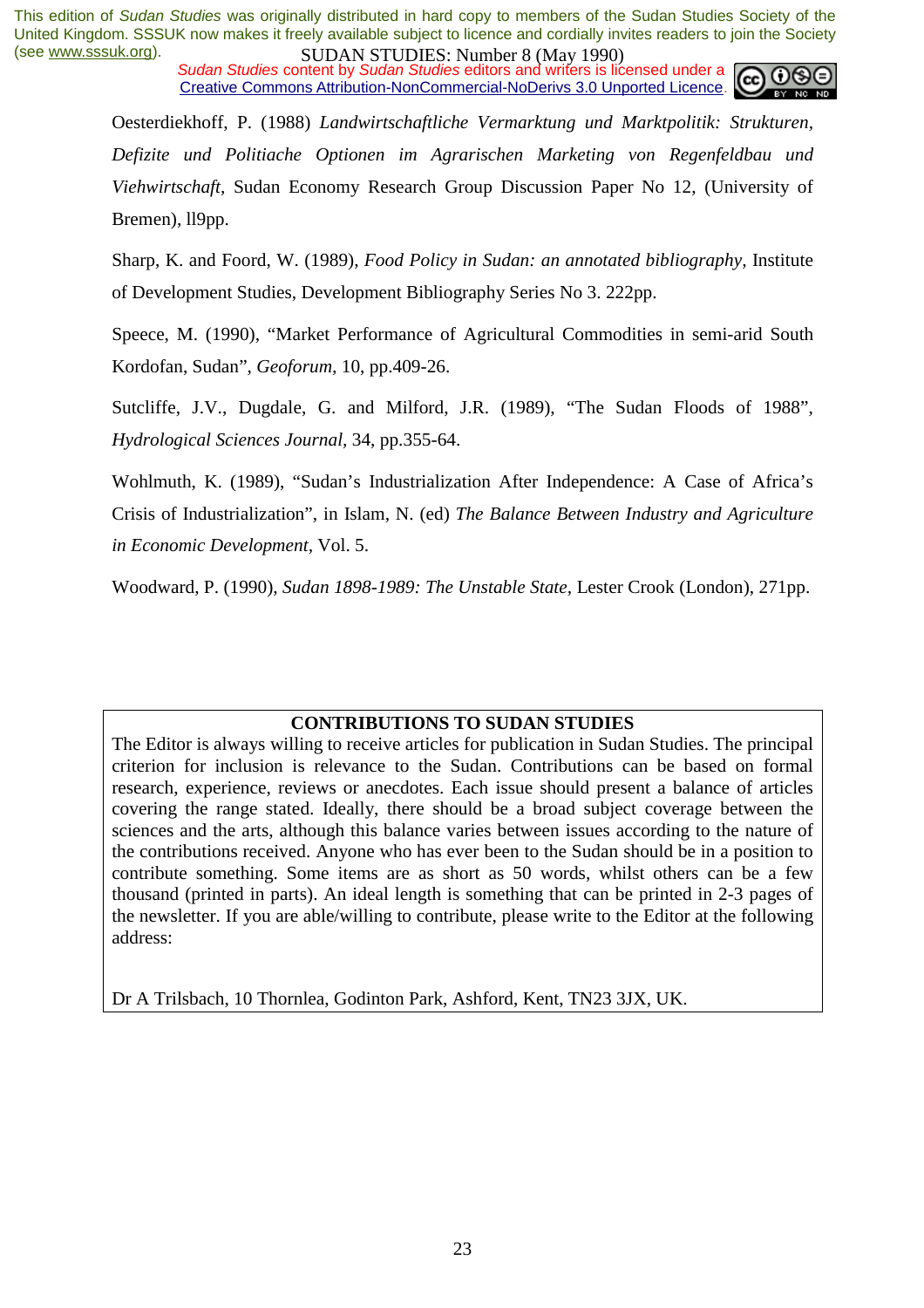**SUDAN STUDES**: **NUDES** (WAY 1200)<br>Sudan Studies content by Sudan Studies editors and writers is licensed under a Creative Commons Attribution-NonCommercial-NoDerivs 3.0 Unported Licence.



Oesterdiekhoff, P. (1988) *Landwirtschaftliche Vermarktung und Marktpolitik: Strukturen, Defizite und Politiache Optionen im Agrarischen Marketing von Regenfeldbau und Viehwirtschaft,* Sudan Economy Research Group Discussion Paper No 12, (University of Bremen), ll9pp.

Sharp, K. and Foord, W. (1989), *Food Policy in Sudan: an annotated bibliography,* Institute of Development Studies, Development Bibliography Series No 3. 222pp.

Speece, M. (1990), "Market Performance of Agricultural Commodities in semi-arid South Kordofan, Sudan", *Geoforum,* 10, pp.409-26.

Sutcliffe, J.V., Dugdale, G. and Milford, J.R. (1989), "The Sudan Floods of 1988", *Hydrological Sciences Journal,* 34, pp.355-64.

Wohlmuth, K. (1989), "Sudan's Industrialization After Independence: A Case of Africa's Crisis of Industrialization", in Islam, N. (ed) *The Balance Between Industry and Agriculture in Economic Development,* Vol. 5.

Woodward, P. (1990), *Sudan 1898-1989: The Unstable State,* Lester Crook (London), 271pp.

#### **CONTRIBUTIONS TO SUDAN STUDIES**

The Editor is always willing to receive articles for publication in Sudan Studies. The principal criterion for inclusion is relevance to the Sudan. Contributions can be based on formal research, experience, reviews or anecdotes. Each issue should present a balance of articles covering the range stated. Ideally, there should be a broad subject coverage between the sciences and the arts, although this balance varies between issues according to the nature of the contributions received. Anyone who has ever been to the Sudan should be in a position to contribute something. Some items are as short as 50 words, whilst others can be a few thousand (printed in parts). An ideal length is something that can be printed in 2-3 pages of the newsletter. If you are able/willing to contribute, please write to the Editor at the following address:

Dr A Trilsbach, 10 Thornlea, Godinton Park, Ashford, Kent, TN23 3JX, UK.